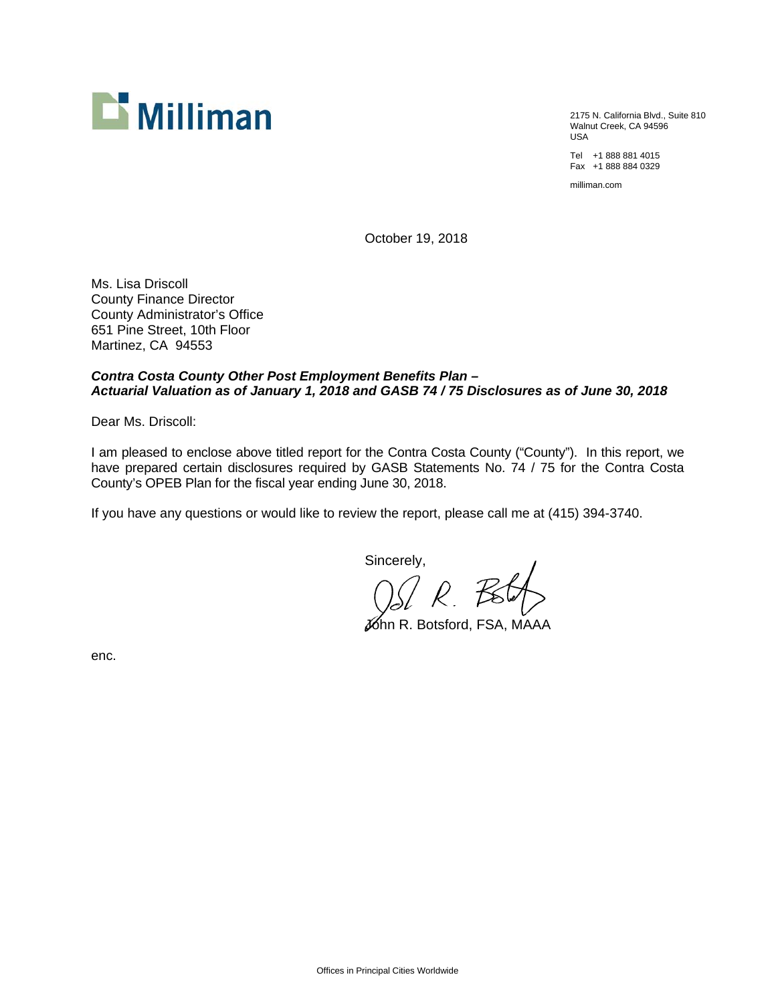

2175 N. California Blvd., Suite 810 Walnut Creek, CA 94596 USA

Tel +1 888 881 4015 Fax +1 888 884 0329

milliman.com

October 19, 2018

Ms. Lisa Driscoll County Finance Director County Administrator's Office 651 Pine Street, 10th Floor Martinez, CA 94553

# *Contra Costa County Other Post Employment Benefits Plan – Actuarial Valuation as of January 1, 2018 and GASB 74 / 75 Disclosures as of June 30, 2018*

Dear Ms. Driscoll:

I am pleased to enclose above titled report for the Contra Costa County ("County"). In this report, we have prepared certain disclosures required by GASB Statements No. 74 / 75 for the Contra Costa County's OPEB Plan for the fiscal year ending June 30, 2018.

If you have any questions or would like to review the report, please call me at (415) 394-3740.

Sincerely,

John R. Botsford, FSA, MAAA

enc.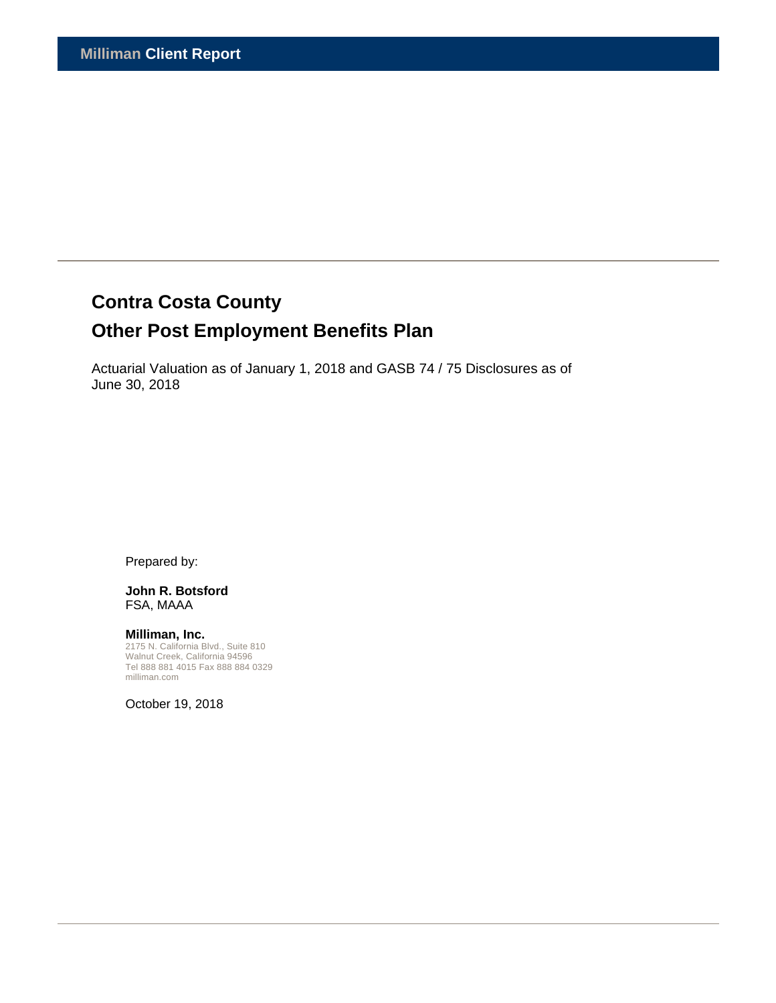# **Contra Costa County**

# **Other Post Employment Benefits Plan**

Actuarial Valuation as of January 1, 2018 and GASB 74 / 75 Disclosures as of June 30, 2018

Prepared by:

#### **John R. Botsford**  FSA, MAAA

**Milliman, Inc.**  2175 N. California Blvd., Suite 810 Walnut Creek, California 94596 Tel 888 881 4015 Fax 888 884 0329 milliman.com

October 19, 2018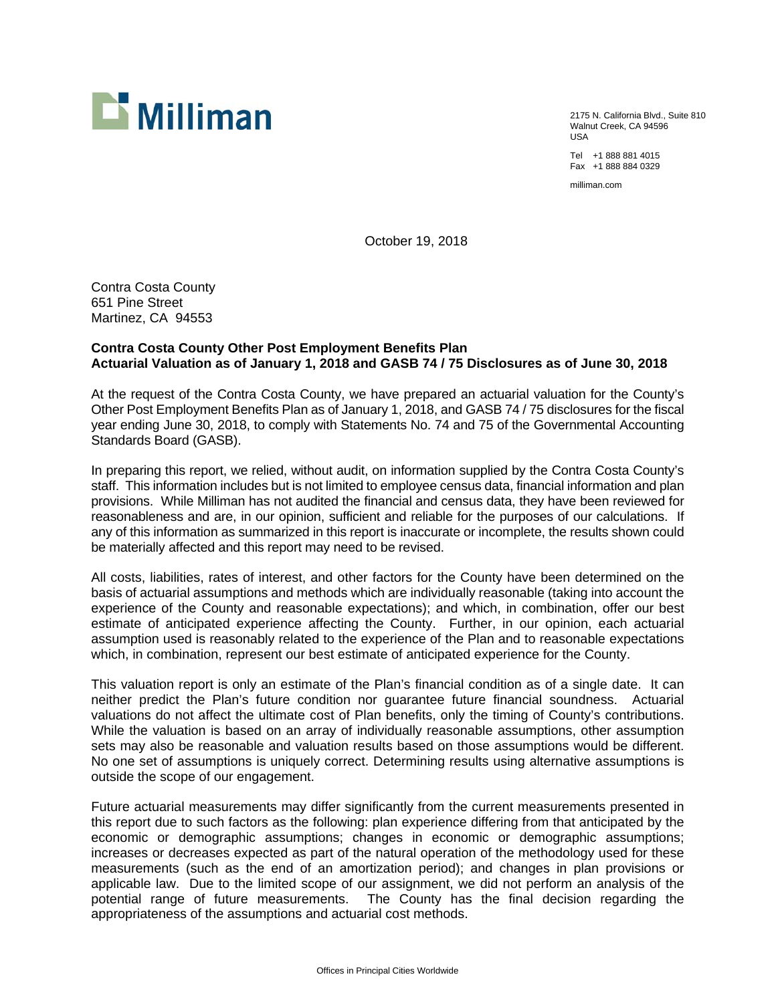

2175 N. California Blvd., Suite 810 Walnut Creek, CA 94596 USA

Tel +1 888 881 4015 Fax +1 888 884 0329

milliman.com

October 19, 2018

Contra Costa County 651 Pine Street Martinez, CA 94553

# **Contra Costa County Other Post Employment Benefits Plan Actuarial Valuation as of January 1, 2018 and GASB 74 / 75 Disclosures as of June 30, 2018**

At the request of the Contra Costa County, we have prepared an actuarial valuation for the County's Other Post Employment Benefits Plan as of January 1, 2018, and GASB 74 / 75 disclosures for the fiscal year ending June 30, 2018, to comply with Statements No. 74 and 75 of the Governmental Accounting Standards Board (GASB).

In preparing this report, we relied, without audit, on information supplied by the Contra Costa County's staff. This information includes but is not limited to employee census data, financial information and plan provisions. While Milliman has not audited the financial and census data, they have been reviewed for reasonableness and are, in our opinion, sufficient and reliable for the purposes of our calculations. If any of this information as summarized in this report is inaccurate or incomplete, the results shown could be materially affected and this report may need to be revised.

All costs, liabilities, rates of interest, and other factors for the County have been determined on the basis of actuarial assumptions and methods which are individually reasonable (taking into account the experience of the County and reasonable expectations); and which, in combination, offer our best estimate of anticipated experience affecting the County. Further, in our opinion, each actuarial assumption used is reasonably related to the experience of the Plan and to reasonable expectations which, in combination, represent our best estimate of anticipated experience for the County.

This valuation report is only an estimate of the Plan's financial condition as of a single date. It can neither predict the Plan's future condition nor guarantee future financial soundness. Actuarial valuations do not affect the ultimate cost of Plan benefits, only the timing of County's contributions. While the valuation is based on an array of individually reasonable assumptions, other assumption sets may also be reasonable and valuation results based on those assumptions would be different. No one set of assumptions is uniquely correct. Determining results using alternative assumptions is outside the scope of our engagement.

Future actuarial measurements may differ significantly from the current measurements presented in this report due to such factors as the following: plan experience differing from that anticipated by the economic or demographic assumptions; changes in economic or demographic assumptions; increases or decreases expected as part of the natural operation of the methodology used for these measurements (such as the end of an amortization period); and changes in plan provisions or applicable law. Due to the limited scope of our assignment, we did not perform an analysis of the potential range of future measurements. The County has the final decision regarding the appropriateness of the assumptions and actuarial cost methods.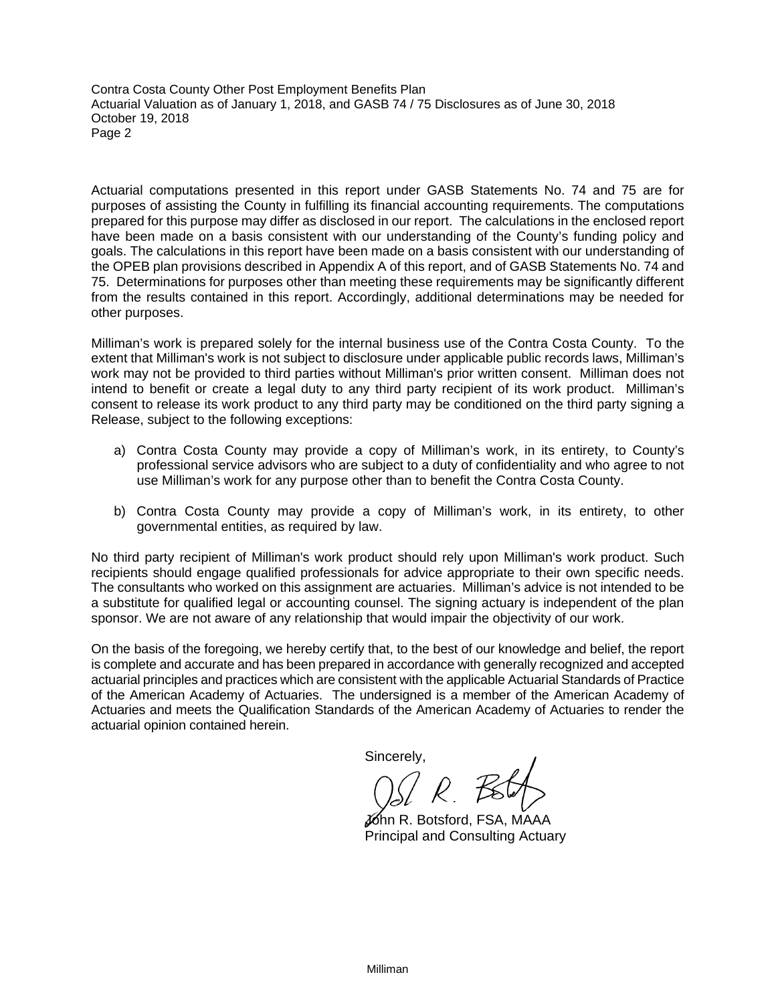Contra Costa County Other Post Employment Benefits Plan Actuarial Valuation as of January 1, 2018, and GASB 74 / 75 Disclosures as of June 30, 2018 October 19, 2018 Page 2

Actuarial computations presented in this report under GASB Statements No. 74 and 75 are for purposes of assisting the County in fulfilling its financial accounting requirements. The computations prepared for this purpose may differ as disclosed in our report. The calculations in the enclosed report have been made on a basis consistent with our understanding of the County's funding policy and goals. The calculations in this report have been made on a basis consistent with our understanding of the OPEB plan provisions described in Appendix A of this report, and of GASB Statements No. 74 and 75. Determinations for purposes other than meeting these requirements may be significantly different from the results contained in this report. Accordingly, additional determinations may be needed for other purposes.

Milliman's work is prepared solely for the internal business use of the Contra Costa County. To the extent that Milliman's work is not subject to disclosure under applicable public records laws, Milliman's work may not be provided to third parties without Milliman's prior written consent. Milliman does not intend to benefit or create a legal duty to any third party recipient of its work product. Milliman's consent to release its work product to any third party may be conditioned on the third party signing a Release, subject to the following exceptions:

- a) Contra Costa County may provide a copy of Milliman's work, in its entirety, to County's professional service advisors who are subject to a duty of confidentiality and who agree to not use Milliman's work for any purpose other than to benefit the Contra Costa County.
- b) Contra Costa County may provide a copy of Milliman's work, in its entirety, to other governmental entities, as required by law.

No third party recipient of Milliman's work product should rely upon Milliman's work product. Such recipients should engage qualified professionals for advice appropriate to their own specific needs. The consultants who worked on this assignment are actuaries. Milliman's advice is not intended to be a substitute for qualified legal or accounting counsel. The signing actuary is independent of the plan sponsor. We are not aware of any relationship that would impair the objectivity of our work.

On the basis of the foregoing, we hereby certify that, to the best of our knowledge and belief, the report is complete and accurate and has been prepared in accordance with generally recognized and accepted actuarial principles and practices which are consistent with the applicable Actuarial Standards of Practice of the American Academy of Actuaries. The undersigned is a member of the American Academy of Actuaries and meets the Qualification Standards of the American Academy of Actuaries to render the actuarial opinion contained herein.

Sincerely,

 John R. Botsford, FSA, MAAA Principal and Consulting Actuary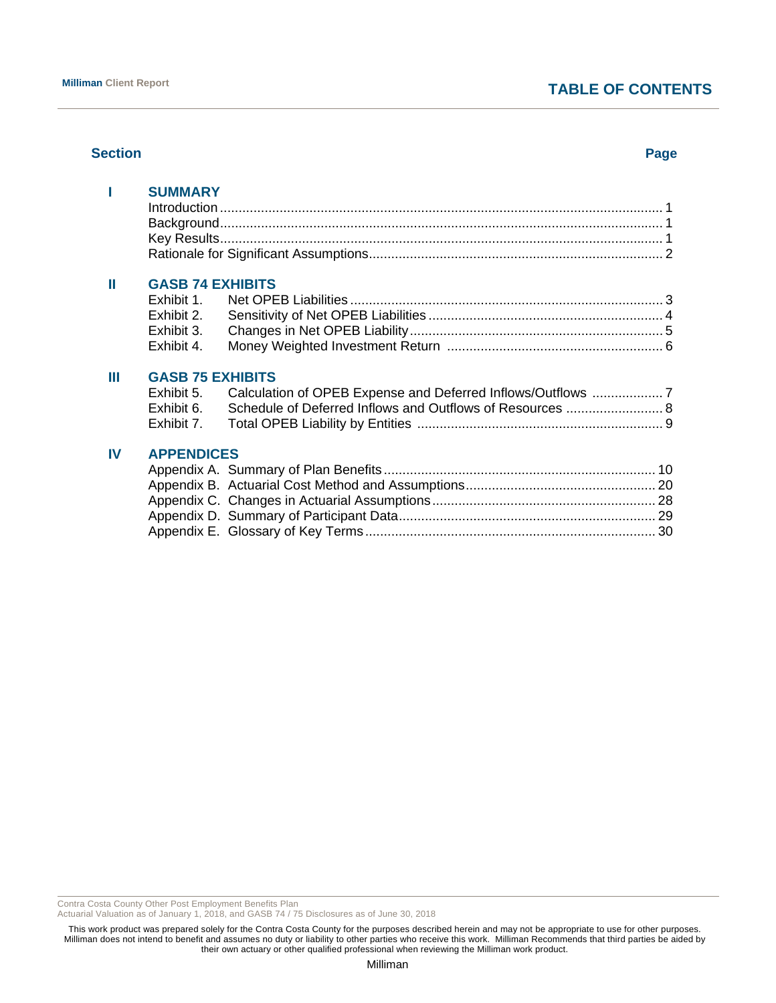# **TABLE OF CONTENTS**

#### **Section Page**

|    | <b>SUMMARY</b>          |                                                           |  |
|----|-------------------------|-----------------------------------------------------------|--|
| Ш  | <b>GASB 74 EXHIBITS</b> |                                                           |  |
|    | Exhibit 1.              |                                                           |  |
|    | Exhibit 2.              |                                                           |  |
|    | Exhibit 3.              |                                                           |  |
|    | Exhibit 4.              |                                                           |  |
| Ш  | <b>GASB 75 EXHIBITS</b> |                                                           |  |
|    | Exhibit 5.              |                                                           |  |
|    | Exhibit 6.              | Schedule of Deferred Inflows and Outflows of Resources  8 |  |
|    | Exhibit 7.              |                                                           |  |
| IV | <b>APPENDICES</b>       |                                                           |  |
|    |                         |                                                           |  |
|    |                         |                                                           |  |
|    |                         |                                                           |  |
|    |                         |                                                           |  |
|    |                         |                                                           |  |
|    |                         |                                                           |  |

Contra Costa County Other Post Employment Benefits Plan

Actuarial Valuation as of January 1, 2018, and GASB 74 / 75 Disclosures as of June 30, 2018

This work product was prepared solely for the Contra Costa County for the purposes described herein and may not be appropriate to use for other purposes. Milliman does not intend to benefit and assumes no duty or liability to other parties who receive this work. Milliman Recommends that third parties be aided by their own actuary or other qualified professional when reviewing the Milliman work product.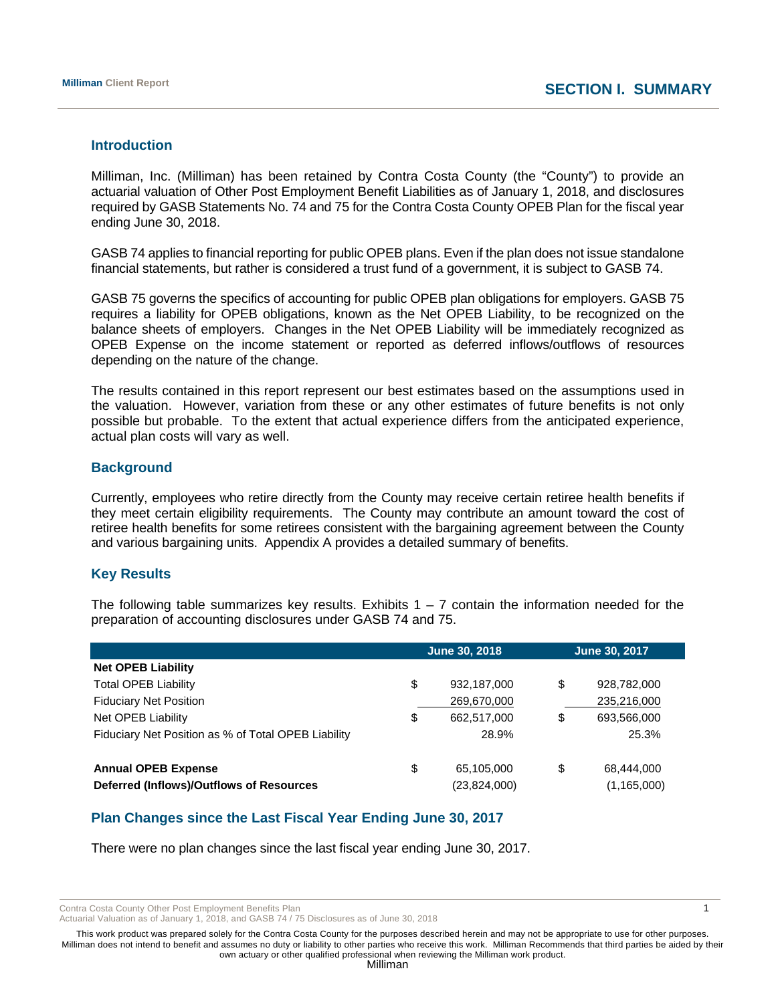#### **Introduction**

Milliman, Inc. (Milliman) has been retained by Contra Costa County (the "County") to provide an actuarial valuation of Other Post Employment Benefit Liabilities as of January 1, 2018, and disclosures required by GASB Statements No. 74 and 75 for the Contra Costa County OPEB Plan for the fiscal year ending June 30, 2018.

GASB 74 applies to financial reporting for public OPEB plans. Even if the plan does not issue standalone financial statements, but rather is considered a trust fund of a government, it is subject to GASB 74.

GASB 75 governs the specifics of accounting for public OPEB plan obligations for employers. GASB 75 requires a liability for OPEB obligations, known as the Net OPEB Liability, to be recognized on the balance sheets of employers. Changes in the Net OPEB Liability will be immediately recognized as OPEB Expense on the income statement or reported as deferred inflows/outflows of resources depending on the nature of the change.

The results contained in this report represent our best estimates based on the assumptions used in the valuation. However, variation from these or any other estimates of future benefits is not only possible but probable. To the extent that actual experience differs from the anticipated experience, actual plan costs will vary as well.

# **Background**

Currently, employees who retire directly from the County may receive certain retiree health benefits if they meet certain eligibility requirements. The County may contribute an amount toward the cost of retiree health benefits for some retirees consistent with the bargaining agreement between the County and various bargaining units. Appendix A provides a detailed summary of benefits.

# **Key Results**

The following table summarizes key results. Exhibits  $1 - 7$  contain the information needed for the preparation of accounting disclosures under GASB 74 and 75.

|                                                     | June 30, 2018     | June 30, 2017 |               |  |
|-----------------------------------------------------|-------------------|---------------|---------------|--|
| <b>Net OPEB Liability</b>                           |                   |               |               |  |
| <b>Total OPEB Liability</b>                         | \$<br>932,187,000 | \$            | 928,782,000   |  |
| <b>Fiduciary Net Position</b>                       | 269,670,000       |               | 235,216,000   |  |
| Net OPEB Liability                                  | \$<br>662,517,000 | \$            | 693,566,000   |  |
| Fiduciary Net Position as % of Total OPEB Liability | 28.9%             |               | 25.3%         |  |
|                                                     |                   |               |               |  |
| <b>Annual OPEB Expense</b>                          | \$<br>65,105,000  | \$            | 68,444,000    |  |
| Deferred (Inflows)/Outflows of Resources            | (23,824,000)      |               | (1, 165, 000) |  |

# **Plan Changes since the Last Fiscal Year Ending June 30, 2017**

There were no plan changes since the last fiscal year ending June 30, 2017.

Contra Costa County Other Post Employment Benefits Plan 1 and 1 and 2008 1 and 2008 1 and 2008 1 and 2008 1 and 2008 1 and 2008 1 and 2008 1 and 2008 1 and 2008 1 and 2008 1 and 2008 1 and 2008 1 and 2008 1 and 2008 1 and

Actuarial Valuation as of January 1, 2018, and GASB 74 / 75 Disclosures as of June 30, 2018

This work product was prepared solely for the Contra Costa County for the purposes described herein and may not be appropriate to use for other purposes. Milliman does not intend to benefit and assumes no duty or liability to other parties who receive this work. Milliman Recommends that third parties be aided by their own actuary or other qualified professional when reviewing the Milliman work product.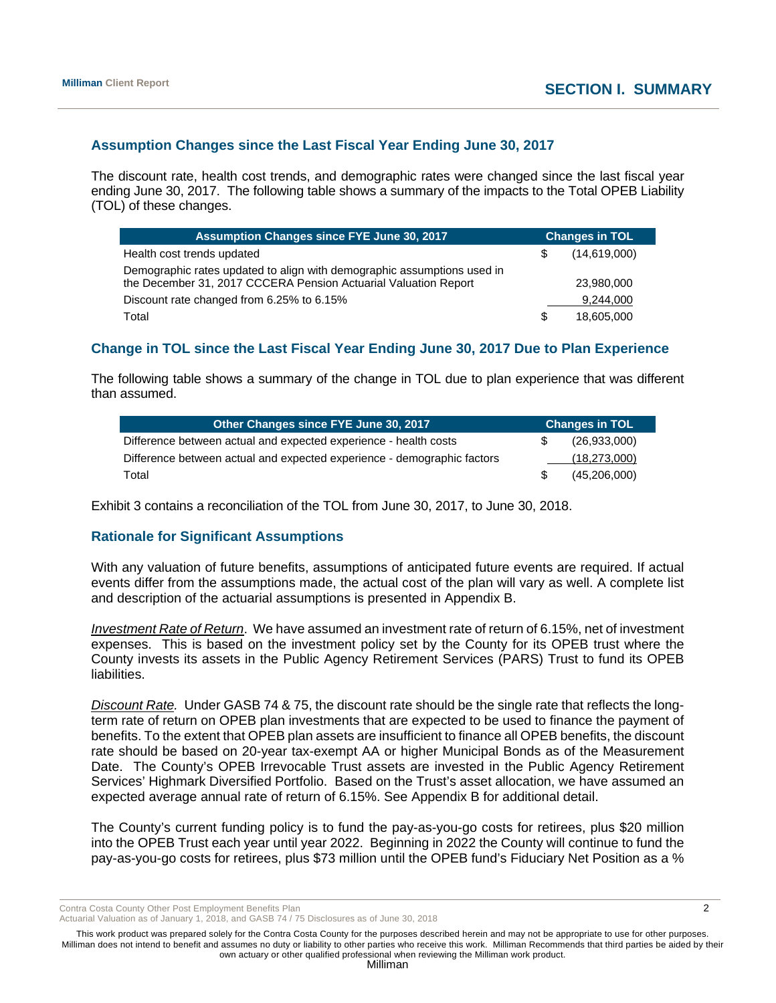# **Assumption Changes since the Last Fiscal Year Ending June 30, 2017**

The discount rate, health cost trends, and demographic rates were changed since the last fiscal year ending June 30, 2017. The following table shows a summary of the impacts to the Total OPEB Liability (TOL) of these changes.

| Assumption Changes since FYE June 30, 2017                                                                                                 | <b>Changes in TOL</b> |              |  |
|--------------------------------------------------------------------------------------------------------------------------------------------|-----------------------|--------------|--|
| Health cost trends updated                                                                                                                 | S.                    | (14,619,000) |  |
| Demographic rates updated to align with demographic assumptions used in<br>the December 31, 2017 CCCERA Pension Actuarial Valuation Report |                       | 23,980,000   |  |
| Discount rate changed from 6.25% to 6.15%                                                                                                  |                       | 9,244,000    |  |
| Total                                                                                                                                      | S                     | 18,605,000   |  |

# **Change in TOL since the Last Fiscal Year Ending June 30, 2017 Due to Plan Experience**

The following table shows a summary of the change in TOL due to plan experience that was different than assumed.

| Other Changes since FYE June 30, 2017                                   | <b>Changes in TOL</b> |
|-------------------------------------------------------------------------|-----------------------|
| Difference between actual and expected experience - health costs        | (26.933.000)          |
| Difference between actual and expected experience - demographic factors | (18,273,000)          |
| Total                                                                   | (45, 206, 000)        |

Exhibit 3 contains a reconciliation of the TOL from June 30, 2017, to June 30, 2018.

# **Rationale for Significant Assumptions**

With any valuation of future benefits, assumptions of anticipated future events are required. If actual events differ from the assumptions made, the actual cost of the plan will vary as well. A complete list and description of the actuarial assumptions is presented in Appendix B.

*Investment Rate of Return*. We have assumed an investment rate of return of 6.15%, net of investment expenses. This is based on the investment policy set by the County for its OPEB trust where the County invests its assets in the Public Agency Retirement Services (PARS) Trust to fund its OPEB liabilities.

*Discount Rate.* Under GASB 74 & 75, the discount rate should be the single rate that reflects the longterm rate of return on OPEB plan investments that are expected to be used to finance the payment of benefits. To the extent that OPEB plan assets are insufficient to finance all OPEB benefits, the discount rate should be based on 20-year tax-exempt AA or higher Municipal Bonds as of the Measurement Date. The County's OPEB Irrevocable Trust assets are invested in the Public Agency Retirement Services' Highmark Diversified Portfolio. Based on the Trust's asset allocation, we have assumed an expected average annual rate of return of 6.15%. See Appendix B for additional detail.

The County's current funding policy is to fund the pay-as-you-go costs for retirees, plus \$20 million into the OPEB Trust each year until year 2022. Beginning in 2022 the County will continue to fund the pay-as-you-go costs for retirees, plus \$73 million until the OPEB fund's Fiduciary Net Position as a %

Contra Costa County Other Post Employment Benefits Plan 2 2

Actuarial Valuation as of January 1, 2018, and GASB 74 / 75 Disclosures as of June 30, 2018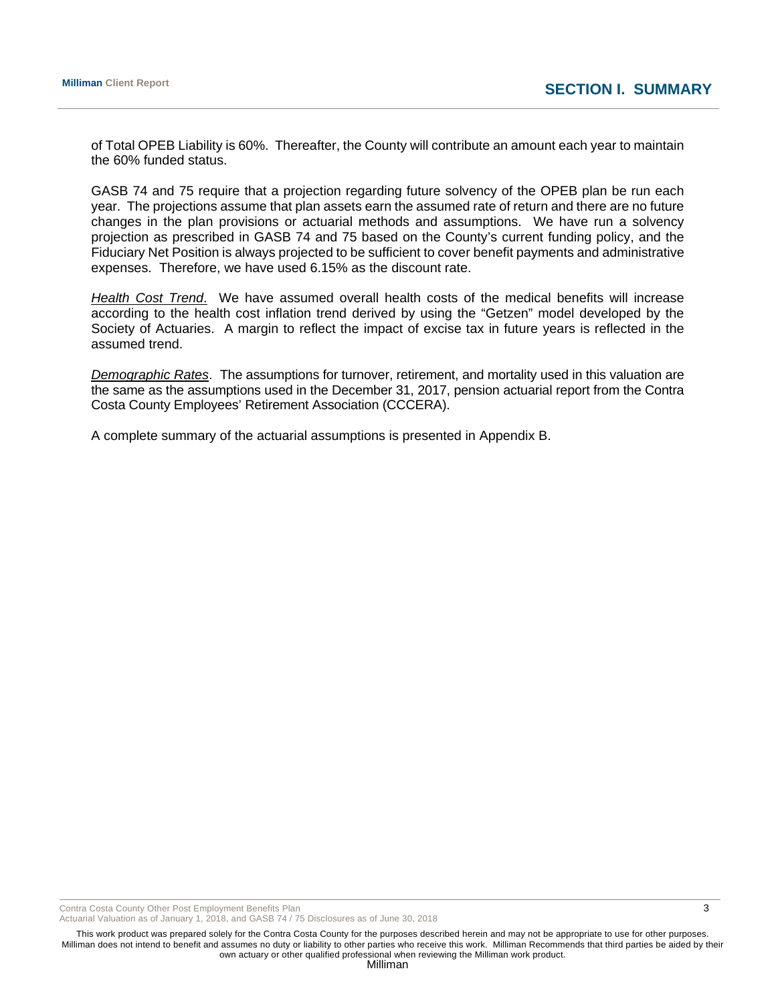of Total OPEB Liability is 60%. Thereafter, the County will contribute an amount each year to maintain the 60% funded status.

GASB 74 and 75 require that a projection regarding future solvency of the OPEB plan be run each year. The projections assume that plan assets earn the assumed rate of return and there are no future changes in the plan provisions or actuarial methods and assumptions. We have run a solvency projection as prescribed in GASB 74 and 75 based on the County's current funding policy, and the Fiduciary Net Position is always projected to be sufficient to cover benefit payments and administrative expenses. Therefore, we have used 6.15% as the discount rate.

*Health Cost Trend*. We have assumed overall health costs of the medical benefits will increase according to the health cost inflation trend derived by using the "Getzen" model developed by the Society of Actuaries. A margin to reflect the impact of excise tax in future years is reflected in the assumed trend.

*Demographic Rates*. The assumptions for turnover, retirement, and mortality used in this valuation are the same as the assumptions used in the December 31, 2017, pension actuarial report from the Contra Costa County Employees' Retirement Association (CCCERA).

A complete summary of the actuarial assumptions is presented in Appendix B.

Contra Costa County Other Post Employment Benefits Plan 3 3

Actuarial Valuation as of January 1, 2018, and GASB 74 / 75 Disclosures as of June 30, 2018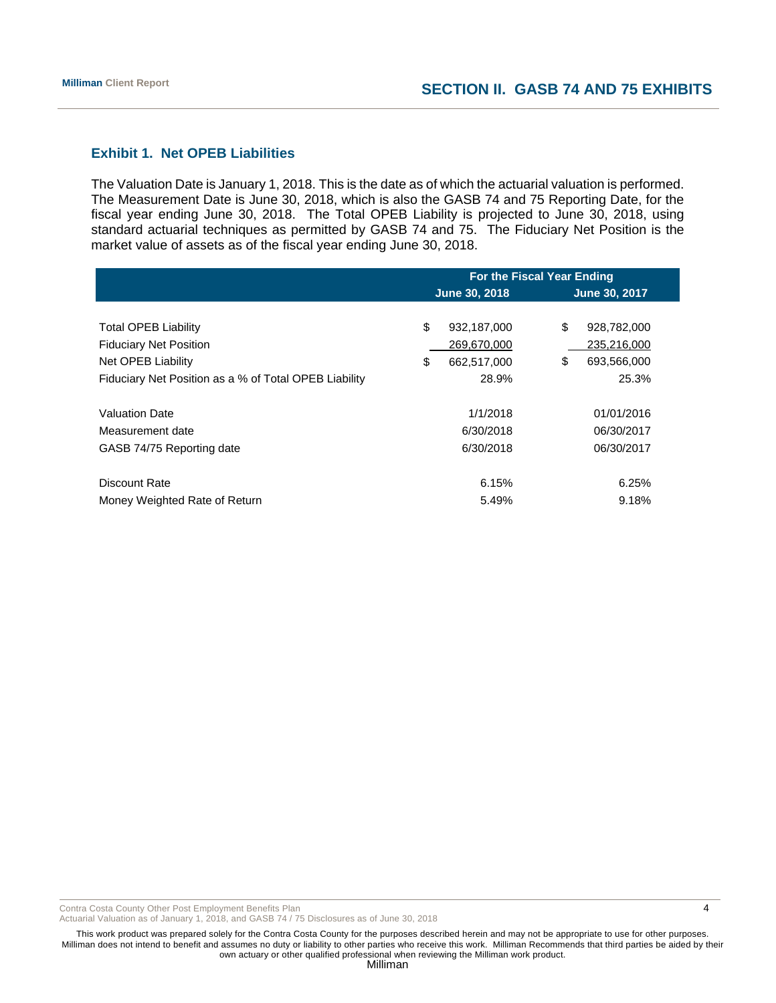# **Exhibit 1. Net OPEB Liabilities**

The Valuation Date is January 1, 2018. This is the date as of which the actuarial valuation is performed. The Measurement Date is June 30, 2018, which is also the GASB 74 and 75 Reporting Date, for the fiscal year ending June 30, 2018. The Total OPEB Liability is projected to June 30, 2018, using standard actuarial techniques as permitted by GASB 74 and 75. The Fiduciary Net Position is the market value of assets as of the fiscal year ending June 30, 2018.

|                                                       | For the Fiscal Year Ending |               |               |             |  |
|-------------------------------------------------------|----------------------------|---------------|---------------|-------------|--|
|                                                       |                            | June 30, 2018 | June 30, 2017 |             |  |
|                                                       |                            |               |               |             |  |
| <b>Total OPEB Liability</b>                           | \$                         | 932,187,000   | \$            | 928,782,000 |  |
| <b>Fiduciary Net Position</b>                         |                            | 269,670,000   |               | 235,216,000 |  |
| Net OPEB Liability                                    | S                          | 662.517.000   | \$            | 693,566,000 |  |
| Fiduciary Net Position as a % of Total OPEB Liability |                            | 28.9%         |               | 25.3%       |  |
|                                                       |                            |               |               |             |  |
| <b>Valuation Date</b>                                 |                            | 1/1/2018      |               | 01/01/2016  |  |
| Measurement date                                      |                            | 6/30/2018     |               | 06/30/2017  |  |
| GASB 74/75 Reporting date                             |                            | 6/30/2018     |               | 06/30/2017  |  |
|                                                       |                            |               |               |             |  |
| Discount Rate                                         |                            | 6.15%         |               | 6.25%       |  |
| Money Weighted Rate of Return                         |                            | 5.49%         |               | 9.18%       |  |

Contra Costa County Other Post Employment Benefits Plan 4 and the state of the state of the state of the state of the state of the state of the state of the state of the state of the state of the state of the state of the

Actuarial Valuation as of January 1, 2018, and GASB 74 / 75 Disclosures as of June 30, 2018

This work product was prepared solely for the Contra Costa County for the purposes described herein and may not be appropriate to use for other purposes. Milliman does not intend to benefit and assumes no duty or liability to other parties who receive this work. Milliman Recommends that third parties be aided by their own actuary or other qualified professional when reviewing the Milliman work product.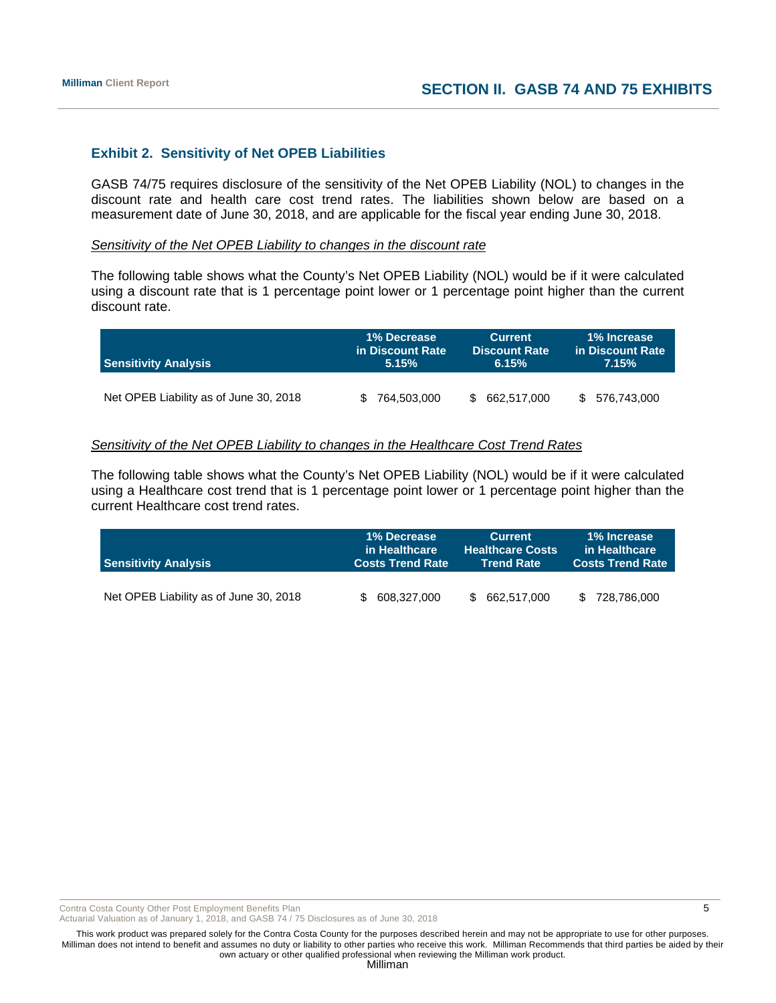# **Exhibit 2. Sensitivity of Net OPEB Liabilities**

GASB 74/75 requires disclosure of the sensitivity of the Net OPEB Liability (NOL) to changes in the discount rate and health care cost trend rates. The liabilities shown below are based on a measurement date of June 30, 2018, and are applicable for the fiscal year ending June 30, 2018.

#### *Sensitivity of the Net OPEB Liability to changes in the discount rate*

The following table shows what the County's Net OPEB Liability (NOL) would be if it were calculated using a discount rate that is 1 percentage point lower or 1 percentage point higher than the current discount rate.

| <b>Sensitivity Analysis</b>            | <b>1% Decrease</b> | <b>Current</b>       | 1% Increase       |
|----------------------------------------|--------------------|----------------------|-------------------|
|                                        | in Discount Rate   | <b>Discount Rate</b> | in Discount Rate  |
|                                        | 5.15%              | 6.15%                | 7.15%             |
| Net OPEB Liability as of June 30, 2018 | 764.503.000        | 662.517.000<br>S.    | 576.743.000<br>S. |

#### *Sensitivity of the Net OPEB Liability to changes in the Healthcare Cost Trend Rates*

The following table shows what the County's Net OPEB Liability (NOL) would be if it were calculated using a Healthcare cost trend that is 1 percentage point lower or 1 percentage point higher than the current Healthcare cost trend rates.

| <b>Sensitivity Analysis</b>            | 1% Decrease             | <b>Current</b>          | 1% Increase             |
|----------------------------------------|-------------------------|-------------------------|-------------------------|
|                                        | in Healthcare           | <b>Healthcare Costs</b> | in Healthcare           |
|                                        | <b>Costs Trend Rate</b> | ⊦Trend Rate             | <b>Costs Trend Rate</b> |
| Net OPEB Liability as of June 30, 2018 | 608,327,000             | 662,517,000             | 728,786,000<br>\$.      |

Contra Costa County Other Post Employment Benefits Plan 5 and 5 and 5 and 5 and 5 and 5 and 5 and 5 and 5 and 5 and 5 and 5 and 5 and 5 and 5 and 5 and 5 and 5 and 5 and 5 and 5 and 5 and 5 and 5 and 5 and 5 and 5 and 5 an

Actuarial Valuation as of January 1, 2018, and GASB 74 / 75 Disclosures as of June 30, 2018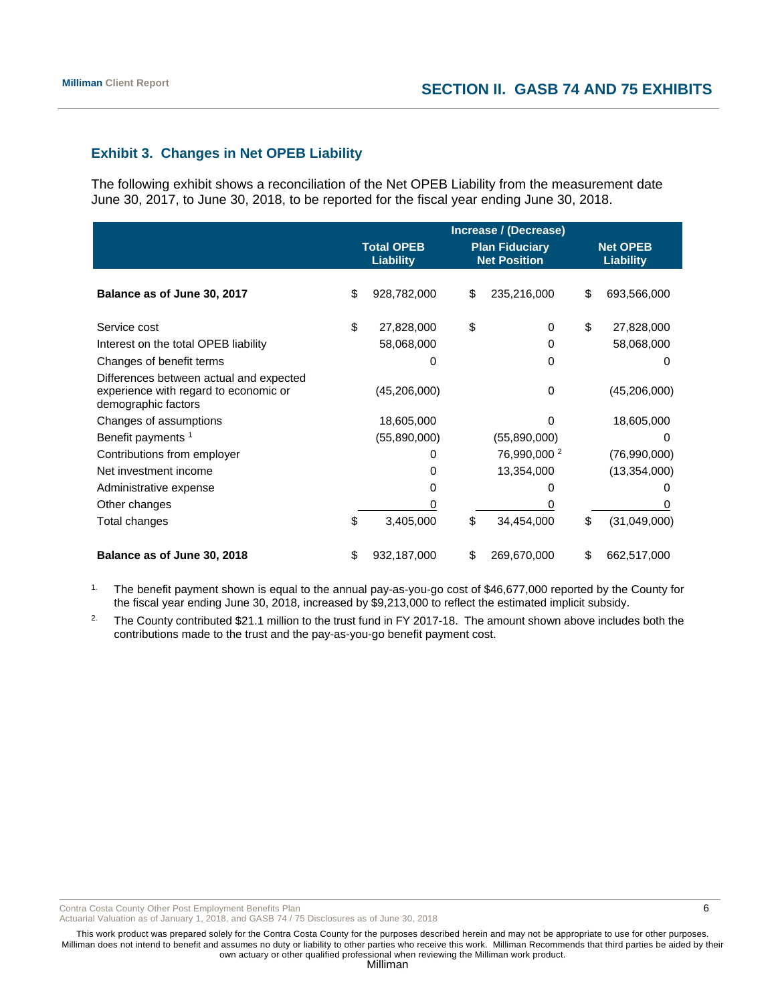# **Exhibit 3. Changes in Net OPEB Liability**

The following exhibit shows a reconciliation of the Net OPEB Liability from the measurement date June 30, 2017, to June 30, 2018, to be reported for the fiscal year ending June 30, 2018.

|                                                                                                         | Increase / (Decrease) |                                       |    |                                              |    |                                     |
|---------------------------------------------------------------------------------------------------------|-----------------------|---------------------------------------|----|----------------------------------------------|----|-------------------------------------|
|                                                                                                         |                       | <b>Total OPEB</b><br><b>Liability</b> |    | <b>Plan Fiduciary</b><br><b>Net Position</b> |    | <b>Net OPEB</b><br><b>Liability</b> |
| Balance as of June 30, 2017                                                                             | \$                    | 928,782,000                           | \$ | 235,216,000                                  | \$ | 693,566,000                         |
| Service cost                                                                                            | \$                    | 27,828,000                            | \$ | $\Omega$                                     | \$ | 27,828,000                          |
| Interest on the total OPEB liability                                                                    |                       | 58,068,000                            |    | 0                                            |    | 58,068,000                          |
| Changes of benefit terms                                                                                |                       | 0                                     |    | 0                                            |    | 0                                   |
| Differences between actual and expected<br>experience with regard to economic or<br>demographic factors |                       | (45,206,000)                          |    | 0                                            |    | (45,206,000)                        |
| Changes of assumptions                                                                                  |                       | 18,605,000                            |    | O                                            |    | 18,605,000                          |
| Benefit payments 1                                                                                      |                       | (55,890,000)                          |    | (55,890,000)                                 |    |                                     |
| Contributions from employer                                                                             |                       | 0                                     |    | 76,990,000 <sup>2</sup>                      |    | (76,990,000)                        |
| Net investment income                                                                                   |                       | 0                                     |    | 13,354,000                                   |    | (13, 354, 000)                      |
| Administrative expense                                                                                  |                       | 0                                     |    |                                              |    |                                     |
| Other changes                                                                                           |                       |                                       |    |                                              |    |                                     |
| Total changes                                                                                           | \$                    | 3,405,000                             | \$ | 34,454,000                                   | \$ | (31,049,000)                        |
| Balance as of June 30, 2018                                                                             | \$                    | 932,187,000                           | \$ | 269,670,000                                  | S  | 662,517,000                         |

<sup>1.</sup> The benefit payment shown is equal to the annual pay-as-you-go cost of \$46,677,000 reported by the County for the fiscal year ending June 30, 2018, increased by \$9,213,000 to reflect the estimated implicit subsidy.

<sup>2.</sup> The County contributed \$21.1 million to the trust fund in FY 2017-18. The amount shown above includes both the contributions made to the trust and the pay-as-you-go benefit payment cost.

Contra Costa County Other Post Employment Benefits Plan 6 and the state of the state of the state of the state of the state of the state of the state of the state of the state of the state of the state of the state of the

Actuarial Valuation as of January 1, 2018, and GASB 74 / 75 Disclosures as of June 30, 2018

This work product was prepared solely for the Contra Costa County for the purposes described herein and may not be appropriate to use for other purposes. Milliman does not intend to benefit and assumes no duty or liability to other parties who receive this work. Milliman Recommends that third parties be aided by their own actuary or other qualified professional when reviewing the Milliman work product.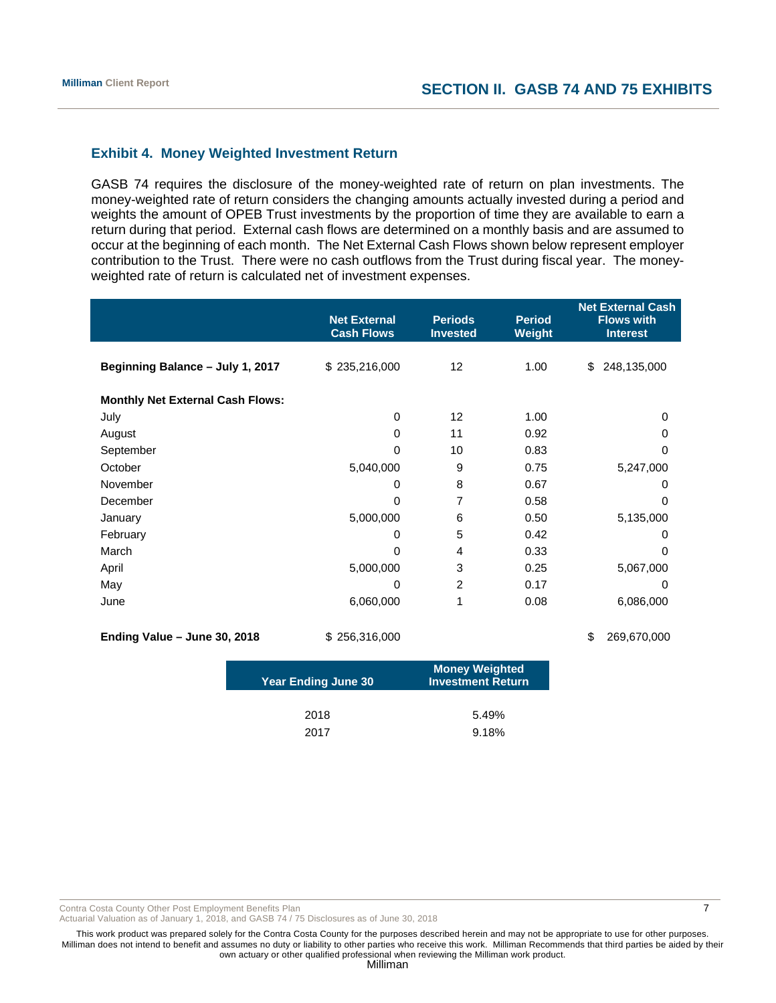# **Exhibit 4. Money Weighted Investment Return**

GASB 74 requires the disclosure of the money-weighted rate of return on plan investments. The money-weighted rate of return considers the changing amounts actually invested during a period and weights the amount of OPEB Trust investments by the proportion of time they are available to earn a return during that period. External cash flows are determined on a monthly basis and are assumed to occur at the beginning of each month. The Net External Cash Flows shown below represent employer contribution to the Trust. There were no cash outflows from the Trust during fiscal year. The moneyweighted rate of return is calculated net of investment expenses.

|                                         | <b>Net External</b><br><b>Cash Flows</b> | <b>Periods</b><br><b>Invested</b> | <b>Period</b><br><b>Weight</b> | <b>Net External Cash</b><br><b>Flows with</b><br><b>Interest</b> |
|-----------------------------------------|------------------------------------------|-----------------------------------|--------------------------------|------------------------------------------------------------------|
| Beginning Balance - July 1, 2017        | \$235,216,000                            | 12                                | 1.00                           | \$<br>248,135,000                                                |
| <b>Monthly Net External Cash Flows:</b> |                                          |                                   |                                |                                                                  |
| July                                    | 0                                        | 12                                | 1.00                           | 0                                                                |
| August                                  | $\Omega$                                 | 11                                | 0.92                           | 0                                                                |
| September                               | 0                                        | 10                                | 0.83                           | 0                                                                |
| October                                 | 5,040,000                                | 9                                 | 0.75                           | 5,247,000                                                        |
| November                                | 0                                        | 8                                 | 0.67                           | 0                                                                |
| December                                | $\Omega$                                 | 7                                 | 0.58                           | $\Omega$                                                         |
| January                                 | 5,000,000                                | 6                                 | 0.50                           | 5,135,000                                                        |
| February                                | 0                                        | 5                                 | 0.42                           | 0                                                                |
| March                                   | 0                                        | 4                                 | 0.33                           | 0                                                                |
| April                                   | 5,000,000                                | 3                                 | 0.25                           | 5,067,000                                                        |
| May                                     | $\Omega$                                 | $\overline{c}$                    | 0.17                           | 0                                                                |
| June                                    | 6,060,000                                | 1                                 | 0.08                           | 6,086,000                                                        |
| Ending Value - June 30, 2018            | \$256,316,000                            |                                   |                                | \$<br>269,670,000                                                |

| <b>Year Ending June 30</b> | <b>Money Weighted</b><br><b>Investment Return</b> |
|----------------------------|---------------------------------------------------|
| 2018                       | 5.49%                                             |
| 2017                       | 9.18%                                             |

Contra Costa County Other Post Employment Benefits Plan 7 and 7 and 7 and 7 and 7 and 7 and 7 and 7 and 7 and 7 and 7 and 7 and 7 and 7 and 7 and 7 and 7 and 7 and 7 and 7 and 7 and 7 and 7 and 7 and 7 and 7 and 7 and 7 an

Actuarial Valuation as of January 1, 2018, and GASB 74 / 75 Disclosures as of June 30, 2018

This work product was prepared solely for the Contra Costa County for the purposes described herein and may not be appropriate to use for other purposes. Milliman does not intend to benefit and assumes no duty or liability to other parties who receive this work. Milliman Recommends that third parties be aided by their own actuary or other qualified professional when reviewing the Milliman work product.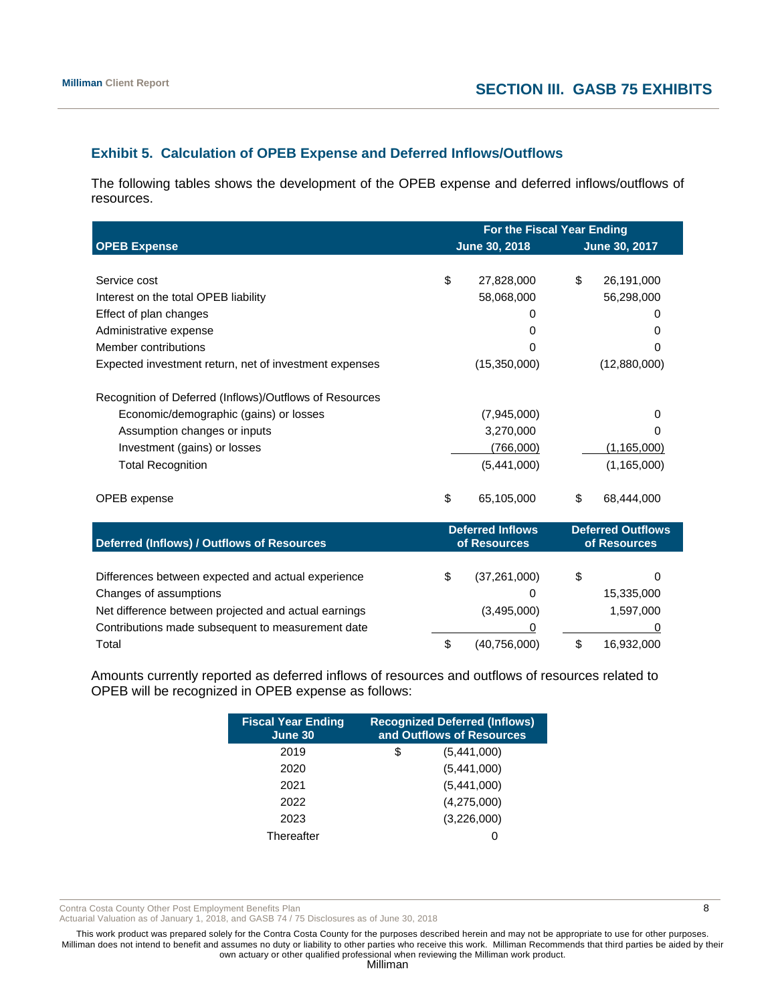# **Exhibit 5. Calculation of OPEB Expense and Deferred Inflows/Outflows**

The following tables shows the development of the OPEB expense and deferred inflows/outflows of resources.

|                                                         | For the Fiscal Year Ending |                         |    |                          |  |  |
|---------------------------------------------------------|----------------------------|-------------------------|----|--------------------------|--|--|
| <b>OPEB Expense</b>                                     |                            | June 30, 2018           |    | June 30, 2017            |  |  |
|                                                         |                            |                         |    |                          |  |  |
| Service cost                                            | \$                         | 27,828,000              | \$ | 26,191,000               |  |  |
| Interest on the total OPEB liability                    |                            | 58,068,000              |    | 56,298,000               |  |  |
| Effect of plan changes                                  |                            | O                       |    | O)                       |  |  |
| Administrative expense                                  |                            | 0                       |    | 0                        |  |  |
| Member contributions                                    |                            | 0                       |    | 0                        |  |  |
| Expected investment return, net of investment expenses  |                            | (15,350,000)            |    | (12,880,000)             |  |  |
|                                                         |                            |                         |    |                          |  |  |
| Recognition of Deferred (Inflows)/Outflows of Resources |                            |                         |    |                          |  |  |
| Economic/demographic (gains) or losses                  |                            | (7,945,000)             |    | 0                        |  |  |
| Assumption changes or inputs                            |                            | 3,270,000               |    | o                        |  |  |
| Investment (gains) or losses                            |                            | (766,000)               |    | (1, 165, 000)            |  |  |
| <b>Total Recognition</b>                                |                            | (5,441,000)             |    | (1, 165, 000)            |  |  |
| OPEB expense                                            | \$                         | 65,105,000              | \$ | 68,444,000               |  |  |
|                                                         |                            | <b>Deferred Inflows</b> |    | <b>Deferred Outflows</b> |  |  |
| Deferred (Inflows) / Outflows of Resources              |                            | of Resources            |    | of Resources             |  |  |
| Differences between expected and actual experience      | \$                         | (37, 261, 000)          | \$ | 0                        |  |  |
| Changes of assumptions                                  |                            | 0                       |    | 15,335,000               |  |  |
| Net difference between projected and actual earnings    |                            | (3,495,000)             |    | 1,597,000                |  |  |
| Contributions made subsequent to measurement date       |                            | 0                       |    |                          |  |  |
| Total                                                   | \$                         | (40,756,000)            | \$ | 16,932,000               |  |  |

Amounts currently reported as deferred inflows of resources and outflows of resources related to OPEB will be recognized in OPEB expense as follows:

| <b>Fiscal Year Ending</b><br>June 30 | <b>Recognized Deferred (Inflows)</b><br>and Outflows of Resources |
|--------------------------------------|-------------------------------------------------------------------|
| 2019                                 | \$<br>(5,441,000)                                                 |
| 2020                                 | (5,441,000)                                                       |
| 2021                                 | (5,441,000)                                                       |
| 2022                                 | (4,275,000)                                                       |
| 2023                                 | (3,226,000)                                                       |
| Thereafter                           |                                                                   |

Contra Costa County Other Post Employment Benefits Plan 8 and 2008 and 2008 and 2008 and 2008 and 2008 and 2008 and 2008 and 2008 and 2008 and 2008 and 2008 and 2008 and 2008 and 2008 and 2008 and 2008 and 2008 and 2008 an

Actuarial Valuation as of January 1, 2018, and GASB 74 / 75 Disclosures as of June 30, 2018

This work product was prepared solely for the Contra Costa County for the purposes described herein and may not be appropriate to use for other purposes. Milliman does not intend to benefit and assumes no duty or liability to other parties who receive this work. Milliman Recommends that third parties be aided by their own actuary or other qualified professional when reviewing the Milliman work product.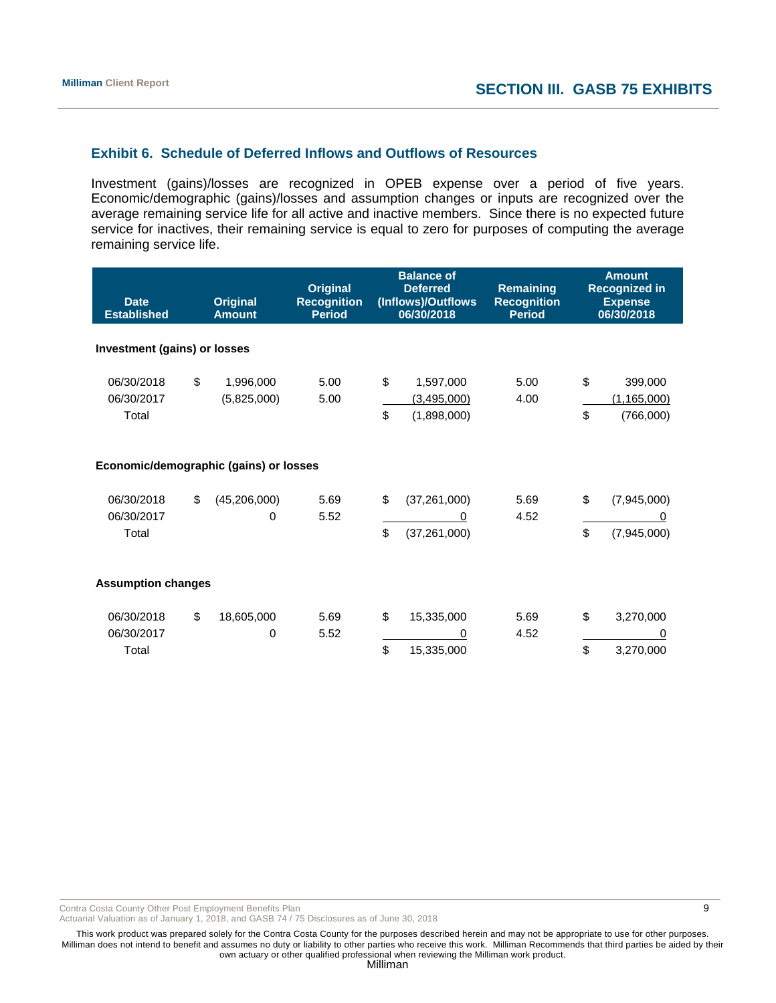# **Exhibit 6. Schedule of Deferred Inflows and Outflows of Resources**

Investment (gains)/losses are recognized in OPEB expense over a period of five years. Economic/demographic (gains)/losses and assumption changes or inputs are recognized over the average remaining service life for all active and inactive members. Since there is no expected future service for inactives, their remaining service is equal to zero for purposes of computing the average remaining service life.

| <b>Date</b><br><b>Established</b>      |    | <b>Original</b><br><b>Amount</b> | <b>Original</b><br><b>Recognition</b><br><b>Period</b> | <b>Balance of</b><br><b>Deferred</b><br>(Inflows)/Outflows<br>06/30/2018 |                                         | <b>Remaining</b><br><b>Recognition</b><br><b>Period</b> |          | <b>Amount</b><br><b>Recognized in</b><br><b>Expense</b><br>06/30/2018 |
|----------------------------------------|----|----------------------------------|--------------------------------------------------------|--------------------------------------------------------------------------|-----------------------------------------|---------------------------------------------------------|----------|-----------------------------------------------------------------------|
| Investment (gains) or losses           |    |                                  |                                                        |                                                                          |                                         |                                                         |          |                                                                       |
| 06/30/2018<br>06/30/2017<br>Total      | \$ | 1,996,000<br>(5,825,000)         | 5.00<br>5.00                                           | \$<br>\$                                                                 | 1,597,000<br>(3,495,000)<br>(1,898,000) | 5.00<br>4.00                                            | \$<br>\$ | 399,000<br>(1, 165, 000)<br>(766,000)                                 |
| Economic/demographic (gains) or losses |    |                                  |                                                        |                                                                          |                                         |                                                         |          |                                                                       |
| 06/30/2018<br>06/30/2017<br>Total      | \$ | (45, 206, 000)<br>0              | 5.69<br>5.52                                           | \$<br>\$                                                                 | (37, 261, 000)<br>0<br>(37, 261, 000)   | 5.69<br>4.52                                            | \$<br>\$ | (7,945,000)<br>0<br>(7,945,000)                                       |
| <b>Assumption changes</b>              |    |                                  |                                                        |                                                                          |                                         |                                                         |          |                                                                       |
| 06/30/2018<br>06/30/2017<br>Total      | \$ | 18,605,000<br>0                  | 5.69<br>5.52                                           | \$<br>\$                                                                 | 15,335,000<br>0<br>15,335,000           | 5.69<br>4.52                                            | \$<br>\$ | 3,270,000<br>0<br>3,270,000                                           |

Contra Costa County Other Post Employment Benefits Plan 6 and 1999 and 1999 and 1999 and 1999 and 1999 and 199

Actuarial Valuation as of January 1, 2018, and GASB 74 / 75 Disclosures as of June 30, 2018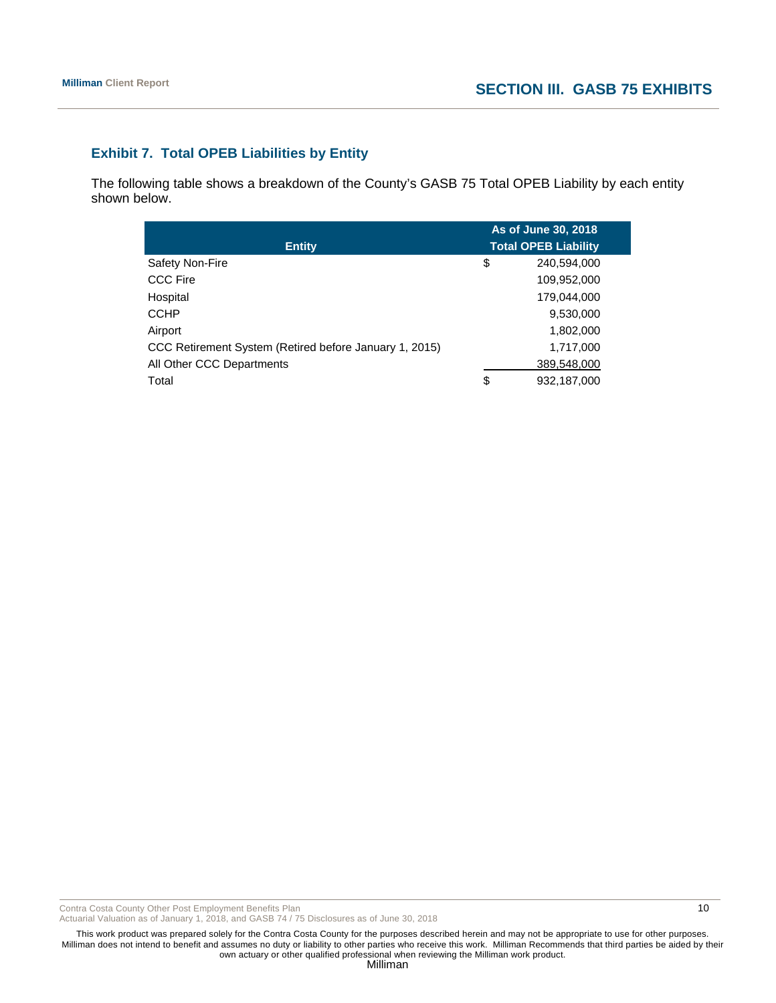# **Exhibit 7. Total OPEB Liabilities by Entity**

The following table shows a breakdown of the County's GASB 75 Total OPEB Liability by each entity shown below.

|                                                        | As of June 30, 2018         |
|--------------------------------------------------------|-----------------------------|
| <b>Entity</b>                                          | <b>Total OPEB Liability</b> |
| Safety Non-Fire                                        | \$<br>240,594,000           |
| <b>CCC Fire</b>                                        | 109,952,000                 |
| Hospital                                               | 179,044,000                 |
| <b>CCHP</b>                                            | 9,530,000                   |
| Airport                                                | 1,802,000                   |
| CCC Retirement System (Retired before January 1, 2015) | 1,717,000                   |
| All Other CCC Departments                              | 389,548,000                 |
| Total                                                  | \$<br>932,187,000           |

Contra Costa County Other Post Employment Benefits Plan 10 and the state of the state of the state of the state of the state of the state of the state of the state of the state of the state of the state of the state of the

Actuarial Valuation as of January 1, 2018, and GASB 74 / 75 Disclosures as of June 30, 2018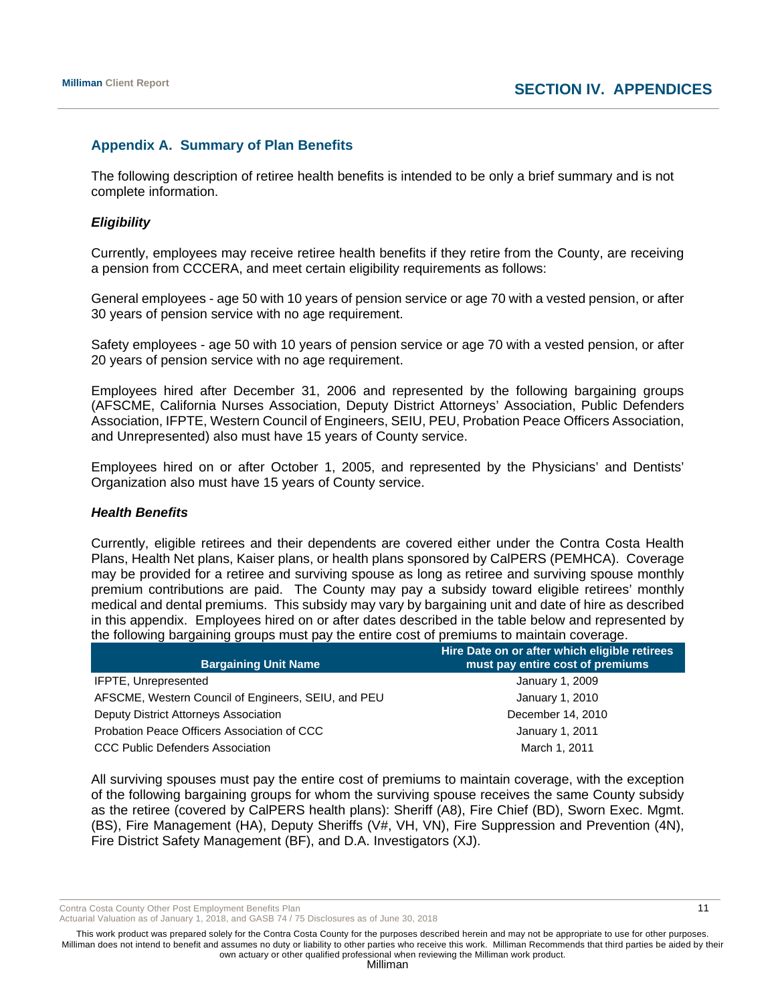# **Appendix A. Summary of Plan Benefits**

The following description of retiree health benefits is intended to be only a brief summary and is not complete information.

#### *Eligibility*

Currently, employees may receive retiree health benefits if they retire from the County, are receiving a pension from CCCERA, and meet certain eligibility requirements as follows:

General employees - age 50 with 10 years of pension service or age 70 with a vested pension, or after 30 years of pension service with no age requirement.

Safety employees - age 50 with 10 years of pension service or age 70 with a vested pension, or after 20 years of pension service with no age requirement.

Employees hired after December 31, 2006 and represented by the following bargaining groups (AFSCME, California Nurses Association, Deputy District Attorneys' Association, Public Defenders Association, IFPTE, Western Council of Engineers, SEIU, PEU, Probation Peace Officers Association, and Unrepresented) also must have 15 years of County service.

Employees hired on or after October 1, 2005, and represented by the Physicians' and Dentists' Organization also must have 15 years of County service.

#### *Health Benefits*

Currently, eligible retirees and their dependents are covered either under the Contra Costa Health Plans, Health Net plans, Kaiser plans, or health plans sponsored by CalPERS (PEMHCA). Coverage may be provided for a retiree and surviving spouse as long as retiree and surviving spouse monthly premium contributions are paid. The County may pay a subsidy toward eligible retirees' monthly medical and dental premiums. This subsidy may vary by bargaining unit and date of hire as described in this appendix. Employees hired on or after dates described in the table below and represented by the following bargaining groups must pay the entire cost of premiums to maintain coverage.

| <b>Bargaining Unit Name</b>                         | Hire Date on or after which eligible retirees<br>must pay entire cost of premiums |  |  |
|-----------------------------------------------------|-----------------------------------------------------------------------------------|--|--|
| <b>IFPTE, Unrepresented</b>                         | January 1, 2009                                                                   |  |  |
| AFSCME, Western Council of Engineers, SEIU, and PEU | January 1, 2010                                                                   |  |  |
| Deputy District Attorneys Association               | December 14, 2010                                                                 |  |  |
| Probation Peace Officers Association of CCC         | January 1, 2011                                                                   |  |  |
| <b>CCC Public Defenders Association</b>             | March 1, 2011                                                                     |  |  |

All surviving spouses must pay the entire cost of premiums to maintain coverage, with the exception of the following bargaining groups for whom the surviving spouse receives the same County subsidy as the retiree (covered by CalPERS health plans): Sheriff (A8), Fire Chief (BD), Sworn Exec. Mgmt. (BS), Fire Management (HA), Deputy Sheriffs (V#, VH, VN), Fire Suppression and Prevention (4N), Fire District Safety Management (BF), and D.A. Investigators (XJ).

Contra Costa County Other Post Employment Benefits Plan 11 and 11 and 200 and 200 and 200 and 200 and 200 and 200 and 200 and 200 and 200 and 200 and 200 and 200 and 200 and 200 and 200 and 200 and 200 and 200 and 200 and

Actuarial Valuation as of January 1, 2018, and GASB 74 / 75 Disclosures as of June 30, 2018

This work product was prepared solely for the Contra Costa County for the purposes described herein and may not be appropriate to use for other purposes. Milliman does not intend to benefit and assumes no duty or liability to other parties who receive this work. Milliman Recommends that third parties be aided by their own actuary or other qualified professional when reviewing the Milliman work product.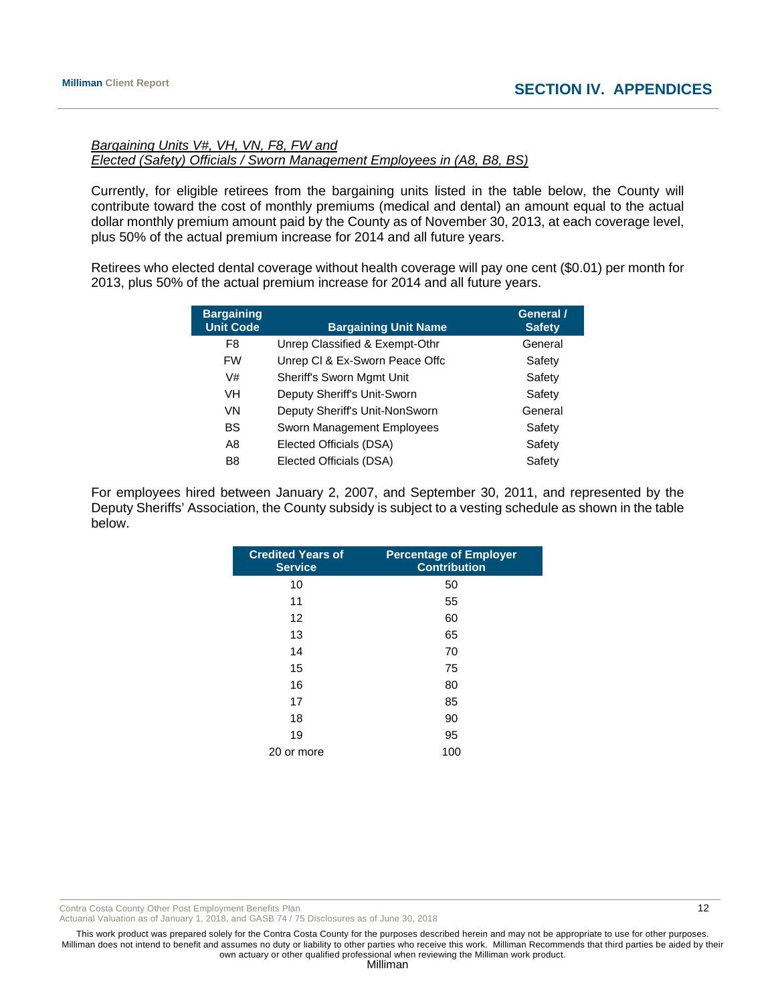# *Bargaining Units V#, VH, VN, F8, FW and Elected (Safety) Officials / Sworn Management Employees in (A8, B8, BS)*

Currently, for eligible retirees from the bargaining units listed in the table below, the County will contribute toward the cost of monthly premiums (medical and dental) an amount equal to the actual dollar monthly premium amount paid by the County as of November 30, 2013, at each coverage level, plus 50% of the actual premium increase for 2014 and all future years.

Retirees who elected dental coverage without health coverage will pay one cent (\$0.01) per month for 2013, plus 50% of the actual premium increase for 2014 and all future years.

| <b>Bargaining</b><br><b>Unit Code</b> | <b>Bargaining Unit Name</b>    | General /<br><b>Safety</b> |
|---------------------------------------|--------------------------------|----------------------------|
| F8                                    | Unrep Classified & Exempt-Othr | General                    |
| <b>FW</b>                             | Unrep CI & Ex-Sworn Peace Offc | Safety                     |
| V#                                    | Sheriff's Sworn Mgmt Unit      | Safety                     |
| VH                                    | Deputy Sheriff's Unit-Sworn    | Safety                     |
| VN                                    | Deputy Sheriff's Unit-NonSworn | General                    |
| <b>BS</b>                             | Sworn Management Employees     | Safety                     |
| A8                                    | Elected Officials (DSA)        | Safety                     |
| B <sub>8</sub>                        | Elected Officials (DSA)        | Safety                     |

For employees hired between January 2, 2007, and September 30, 2011, and represented by the Deputy Sheriffs' Association, the County subsidy is subject to a vesting schedule as shown in the table below.

| <b>Credited Years of</b><br><b>Service</b> | <b>Percentage of Employer</b><br><b>Contribution</b> |
|--------------------------------------------|------------------------------------------------------|
| 10                                         | 50                                                   |
| 11                                         | 55                                                   |
| 12                                         | 60                                                   |
| 13                                         | 65                                                   |
| 14                                         | 70                                                   |
| 15                                         | 75                                                   |
| 16                                         | 80                                                   |
| 17                                         | 85                                                   |
| 18                                         | 90                                                   |
| 19                                         | 95                                                   |
| 20 or more                                 | 100                                                  |

Contra Costa County Other Post Employment Benefits Plan 12 and 12 and 12 and 12 and 12 and 12 and 12 and 12 and 12 and 12 and 12 and 12 and 12 and 12 and 12 and 12 and 12 and 12 and 12 and 12 and 12 and 12 and 12 and 12 an

Actuarial Valuation as of January 1, 2018, and GASB 74 / 75 Disclosures as of June 30, 2018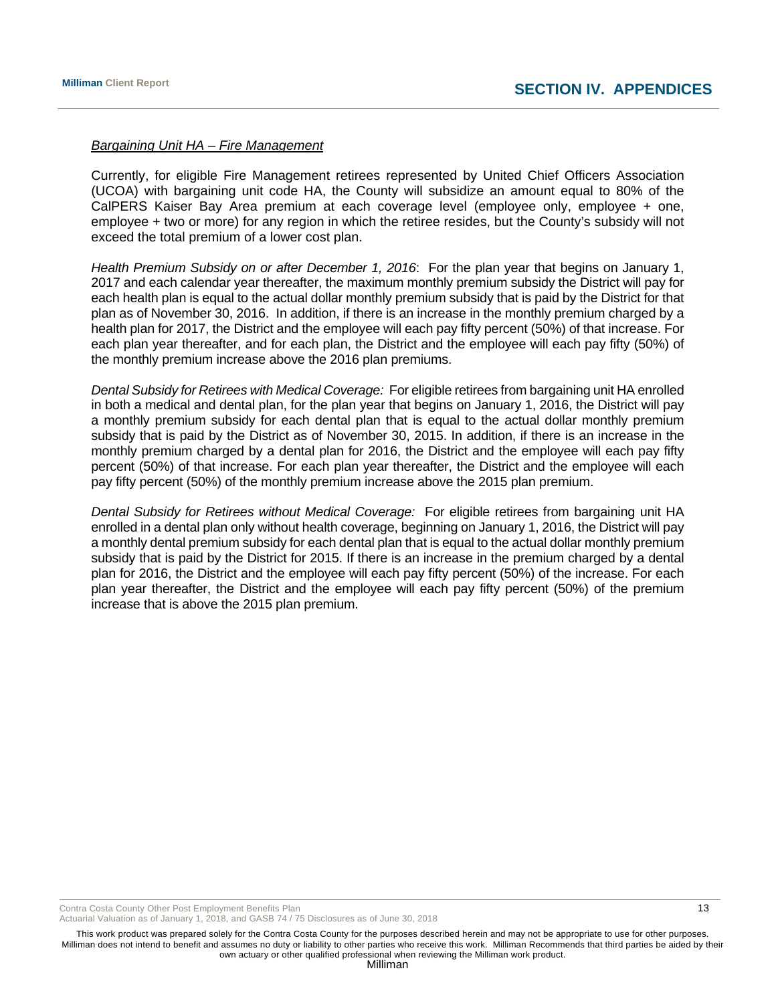#### *Bargaining Unit HA – Fire Management*

Currently, for eligible Fire Management retirees represented by United Chief Officers Association (UCOA) with bargaining unit code HA, the County will subsidize an amount equal to 80% of the CalPERS Kaiser Bay Area premium at each coverage level (employee only, employee + one, employee + two or more) for any region in which the retiree resides, but the County's subsidy will not exceed the total premium of a lower cost plan.

*Health Premium Subsidy on or after December 1, 2016*: For the plan year that begins on January 1, 2017 and each calendar year thereafter, the maximum monthly premium subsidy the District will pay for each health plan is equal to the actual dollar monthly premium subsidy that is paid by the District for that plan as of November 30, 2016. In addition, if there is an increase in the monthly premium charged by a health plan for 2017, the District and the employee will each pay fifty percent (50%) of that increase. For each plan year thereafter, and for each plan, the District and the employee will each pay fifty (50%) of the monthly premium increase above the 2016 plan premiums.

*Dental Subsidy for Retirees with Medical Coverage:* For eligible retirees from bargaining unit HA enrolled in both a medical and dental plan, for the plan year that begins on January 1, 2016, the District will pay a monthly premium subsidy for each dental plan that is equal to the actual dollar monthly premium subsidy that is paid by the District as of November 30, 2015. In addition, if there is an increase in the monthly premium charged by a dental plan for 2016, the District and the employee will each pay fifty percent (50%) of that increase. For each plan year thereafter, the District and the employee will each pay fifty percent (50%) of the monthly premium increase above the 2015 plan premium.

*Dental Subsidy for Retirees without Medical Coverage:* For eligible retirees from bargaining unit HA enrolled in a dental plan only without health coverage, beginning on January 1, 2016, the District will pay a monthly dental premium subsidy for each dental plan that is equal to the actual dollar monthly premium subsidy that is paid by the District for 2015. If there is an increase in the premium charged by a dental plan for 2016, the District and the employee will each pay fifty percent (50%) of the increase. For each plan year thereafter, the District and the employee will each pay fifty percent (50%) of the premium increase that is above the 2015 plan premium.

Contra Costa County Other Post Employment Benefits Plan 13 and 13 and 13 and 13 and 13 and 13 and 13 and 13 and 13 and 13 and 13 and 13 and 13 and 13 and 13 and 13 and 13 and 13 and 13 and 13 and 13 and 13 and 13 and 13 an

Actuarial Valuation as of January 1, 2018, and GASB 74 / 75 Disclosures as of June 30, 2018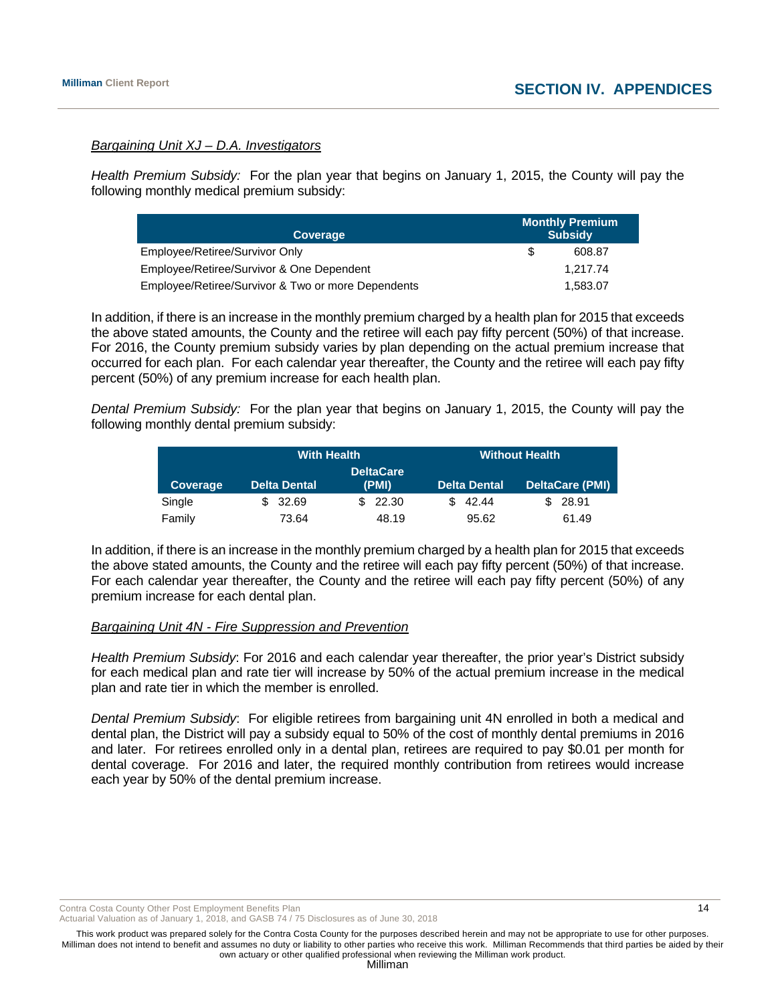#### *Bargaining Unit XJ – D.A. Investigators*

*Health Premium Subsidy:* For the plan year that begins on January 1, 2015, the County will pay the following monthly medical premium subsidy:

| Coverage                                           | <b>Monthly Premium</b><br><b>Subsidy</b> |
|----------------------------------------------------|------------------------------------------|
| Employee/Retiree/Survivor Only                     | 608.87                                   |
| Employee/Retiree/Survivor & One Dependent          | 1.217.74                                 |
| Employee/Retiree/Survivor & Two or more Dependents | 1.583.07                                 |

In addition, if there is an increase in the monthly premium charged by a health plan for 2015 that exceeds the above stated amounts, the County and the retiree will each pay fifty percent (50%) of that increase. For 2016, the County premium subsidy varies by plan depending on the actual premium increase that occurred for each plan. For each calendar year thereafter, the County and the retiree will each pay fifty percent (50%) of any premium increase for each health plan.

*Dental Premium Subsidy:* For the plan year that begins on January 1, 2015, the County will pay the following monthly dental premium subsidy:

|                  | <b>With Health</b>  |         |                     | <b>Without Health</b>  |
|------------------|---------------------|---------|---------------------|------------------------|
| <b>DeltaCare</b> |                     |         |                     |                        |
| Coverage         | <b>Delta Dental</b> | (PMI)   | <b>Delta Dental</b> | <b>DeltaCare (PMI)</b> |
| Single           | \$32.69             | \$22.30 | \$42.44             | \$28.91                |
| Family           | 73.64               | 48.19   | 95.62               | 61.49                  |

In addition, if there is an increase in the monthly premium charged by a health plan for 2015 that exceeds the above stated amounts, the County and the retiree will each pay fifty percent (50%) of that increase. For each calendar year thereafter, the County and the retiree will each pay fifty percent (50%) of any premium increase for each dental plan.

#### *Bargaining Unit 4N - Fire Suppression and Prevention*

*Health Premium Subsidy*: For 2016 and each calendar year thereafter, the prior year's District subsidy for each medical plan and rate tier will increase by 50% of the actual premium increase in the medical plan and rate tier in which the member is enrolled.

*Dental Premium Subsidy*: For eligible retirees from bargaining unit 4N enrolled in both a medical and dental plan, the District will pay a subsidy equal to 50% of the cost of monthly dental premiums in 2016 and later. For retirees enrolled only in a dental plan, retirees are required to pay \$0.01 per month for dental coverage. For 2016 and later, the required monthly contribution from retirees would increase each year by 50% of the dental premium increase.

Contra Costa County Other Post Employment Benefits Plan 14 and 2008 12 and 2008 12 and 2008 12 and 2008 12 and 2008 12

Actuarial Valuation as of January 1, 2018, and GASB 74 / 75 Disclosures as of June 30, 2018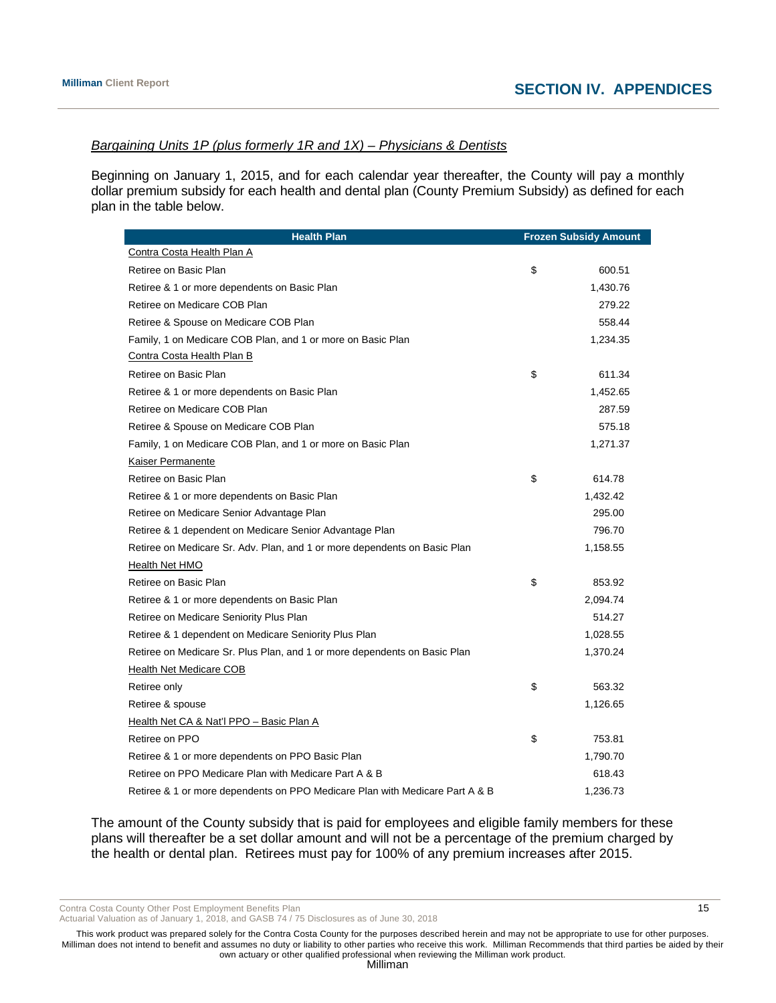# *Bargaining Units 1P (plus formerly 1R and 1X) – Physicians & Dentists*

Beginning on January 1, 2015, and for each calendar year thereafter, the County will pay a monthly dollar premium subsidy for each health and dental plan (County Premium Subsidy) as defined for each plan in the table below.

| <b>Health Plan</b>                                                           | <b>Frozen Subsidy Amount</b> |
|------------------------------------------------------------------------------|------------------------------|
| Contra Costa Health Plan A                                                   |                              |
| Retiree on Basic Plan                                                        | \$<br>600.51                 |
| Retiree & 1 or more dependents on Basic Plan                                 | 1,430.76                     |
| Retiree on Medicare COB Plan                                                 | 279.22                       |
| Retiree & Spouse on Medicare COB Plan                                        | 558.44                       |
| Family, 1 on Medicare COB Plan, and 1 or more on Basic Plan                  | 1,234.35                     |
| Contra Costa Health Plan B                                                   |                              |
| Retiree on Basic Plan                                                        | \$<br>611.34                 |
| Retiree & 1 or more dependents on Basic Plan                                 | 1,452.65                     |
| Retiree on Medicare COB Plan                                                 | 287.59                       |
| Retiree & Spouse on Medicare COB Plan                                        | 575.18                       |
| Family, 1 on Medicare COB Plan, and 1 or more on Basic Plan                  | 1,271.37                     |
| Kaiser Permanente                                                            |                              |
| Retiree on Basic Plan                                                        | \$<br>614.78                 |
| Retiree & 1 or more dependents on Basic Plan                                 | 1,432.42                     |
| Retiree on Medicare Senior Advantage Plan                                    | 295.00                       |
| Retiree & 1 dependent on Medicare Senior Advantage Plan                      | 796.70                       |
| Retiree on Medicare Sr. Adv. Plan, and 1 or more dependents on Basic Plan    | 1,158.55                     |
| Health Net HMO                                                               |                              |
| Retiree on Basic Plan                                                        | \$<br>853.92                 |
| Retiree & 1 or more dependents on Basic Plan                                 | 2,094.74                     |
| Retiree on Medicare Seniority Plus Plan                                      | 514.27                       |
| Retiree & 1 dependent on Medicare Seniority Plus Plan                        | 1,028.55                     |
| Retiree on Medicare Sr. Plus Plan, and 1 or more dependents on Basic Plan    | 1,370.24                     |
| Health Net Medicare COB                                                      |                              |
| Retiree only                                                                 | \$<br>563.32                 |
| Retiree & spouse                                                             | 1,126.65                     |
| Health Net CA & Nat'l PPO - Basic Plan A                                     |                              |
| Retiree on PPO                                                               | \$<br>753.81                 |
| Retiree & 1 or more dependents on PPO Basic Plan                             | 1,790.70                     |
| Retiree on PPO Medicare Plan with Medicare Part A & B                        | 618.43                       |
| Retiree & 1 or more dependents on PPO Medicare Plan with Medicare Part A & B | 1,236.73                     |

The amount of the County subsidy that is paid for employees and eligible family members for these plans will thereafter be a set dollar amount and will not be a percentage of the premium charged by the health or dental plan. Retirees must pay for 100% of any premium increases after 2015.

Contra Costa County Other Post Employment Benefits Plan 15 and 15 and 15 and 15 and 15 and 15 and 15 and 15 and 15 and 15 and 15 and 15 and 15 and 16 and 16 and 16 and 16 and 16 and 16 and 16 and 16 and 16 and 16 and 16 an

Actuarial Valuation as of January 1, 2018, and GASB 74 / 75 Disclosures as of June 30, 2018

This work product was prepared solely for the Contra Costa County for the purposes described herein and may not be appropriate to use for other purposes. Milliman does not intend to benefit and assumes no duty or liability to other parties who receive this work. Milliman Recommends that third parties be aided by their own actuary or other qualified professional when reviewing the Milliman work product.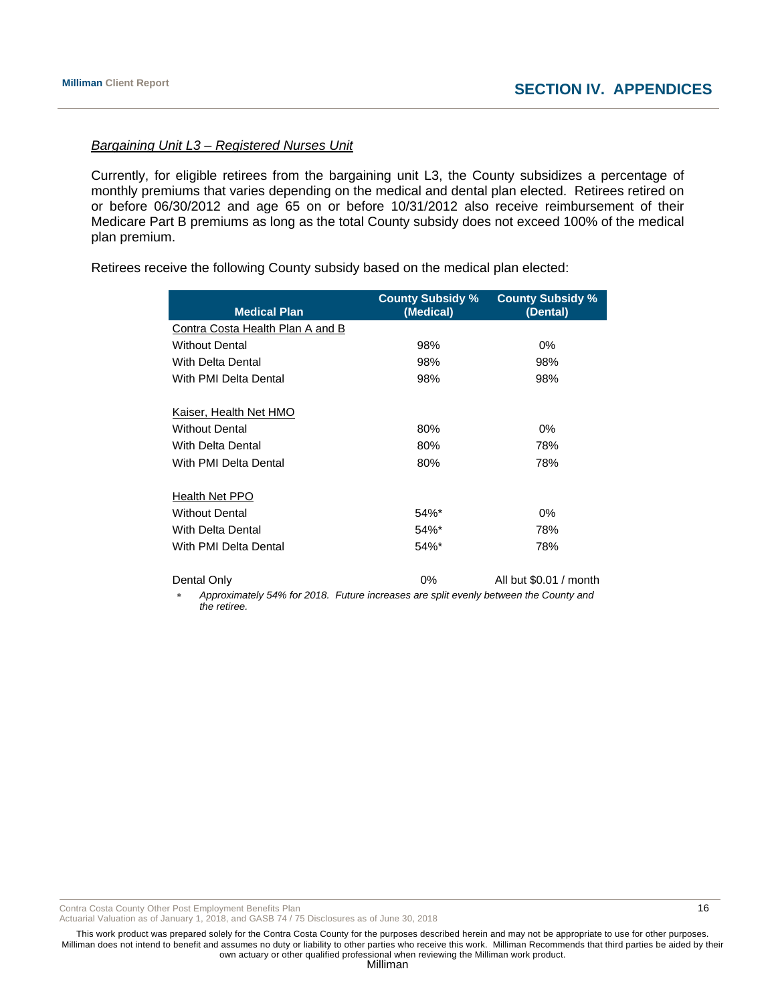# *Bargaining Unit L3 – Registered Nurses Unit*

Currently, for eligible retirees from the bargaining unit L3, the County subsidizes a percentage of monthly premiums that varies depending on the medical and dental plan elected. Retirees retired on or before 06/30/2012 and age 65 on or before 10/31/2012 also receive reimbursement of their Medicare Part B premiums as long as the total County subsidy does not exceed 100% of the medical plan premium.

Retirees receive the following County subsidy based on the medical plan elected:

| <b>Medical Plan</b>                                                                                                                                                                                                                                                                                 | <b>County Subsidy %</b><br>(Medical) | <b>County Subsidy %</b><br>(Dental)                                                               |
|-----------------------------------------------------------------------------------------------------------------------------------------------------------------------------------------------------------------------------------------------------------------------------------------------------|--------------------------------------|---------------------------------------------------------------------------------------------------|
| Contra Costa Health Plan A and B                                                                                                                                                                                                                                                                    |                                      |                                                                                                   |
| <b>Without Dental</b>                                                                                                                                                                                                                                                                               | 98%                                  | 0%                                                                                                |
| <b>With Delta Dental</b>                                                                                                                                                                                                                                                                            | 98%                                  | 98%                                                                                               |
| With PMI Delta Dental                                                                                                                                                                                                                                                                               | 98%                                  | 98%                                                                                               |
| Kaiser, Health Net HMO                                                                                                                                                                                                                                                                              |                                      |                                                                                                   |
| <b>Without Dental</b>                                                                                                                                                                                                                                                                               | 80%                                  | $0\%$                                                                                             |
| With Delta Dental                                                                                                                                                                                                                                                                                   | 80%                                  | 78%                                                                                               |
| With PMI Delta Dental                                                                                                                                                                                                                                                                               | 80%                                  | 78%                                                                                               |
| Health Net PPO                                                                                                                                                                                                                                                                                      |                                      |                                                                                                   |
| <b>Without Dental</b>                                                                                                                                                                                                                                                                               | $54\%$ *                             | $0\%$                                                                                             |
| With Delta Dental                                                                                                                                                                                                                                                                                   | 54%*                                 | 78%                                                                                               |
| With PMI Delta Dental                                                                                                                                                                                                                                                                               | 54%*                                 | 78%                                                                                               |
| Dental Only<br>$A_1, A_2, A_3, A_4, A_5, A_6, A_7, A_8, A_9, A_1, A_2, A_3, A_4, A_5, A_6, A_7, A_8, A_9, A_1, A_2, A_3, A_4, A_5, A_6, A_7, A_8, A_9, A_9, A_1, A_2, A_3, A_1, A_2, A_3, A_4, A_5, A_6, A_7, A_7, A_8, A_9, A_9, A_9, A_1, A_2, A_3, A_1, A_2, A_3, A_1, A_2, A_3, A_4, A_1, A_2,$ | 0%                                   | All but \$0.01 / month<br>$\mathcal{L}$ . The second characteristic distribution of $\mathcal{L}$ |

 *Approximately 54% for 2018. Future increases are split evenly between the County and the retiree.* 

Contra Costa County Other Post Employment Benefits Plan 16 and 16 and 16 and 16 and 16 and 16 and 16 and 16 and 16 and 16 and 16 and 16 and 16 and 16 and 16 and 16 and 16 and 16 and 16 and 16 and 16 and 16 and 16 and 16 an

Actuarial Valuation as of January 1, 2018, and GASB 74 / 75 Disclosures as of June 30, 2018

This work product was prepared solely for the Contra Costa County for the purposes described herein and may not be appropriate to use for other purposes. Milliman does not intend to benefit and assumes no duty or liability to other parties who receive this work. Milliman Recommends that third parties be aided by their own actuary or other qualified professional when reviewing the Milliman work product.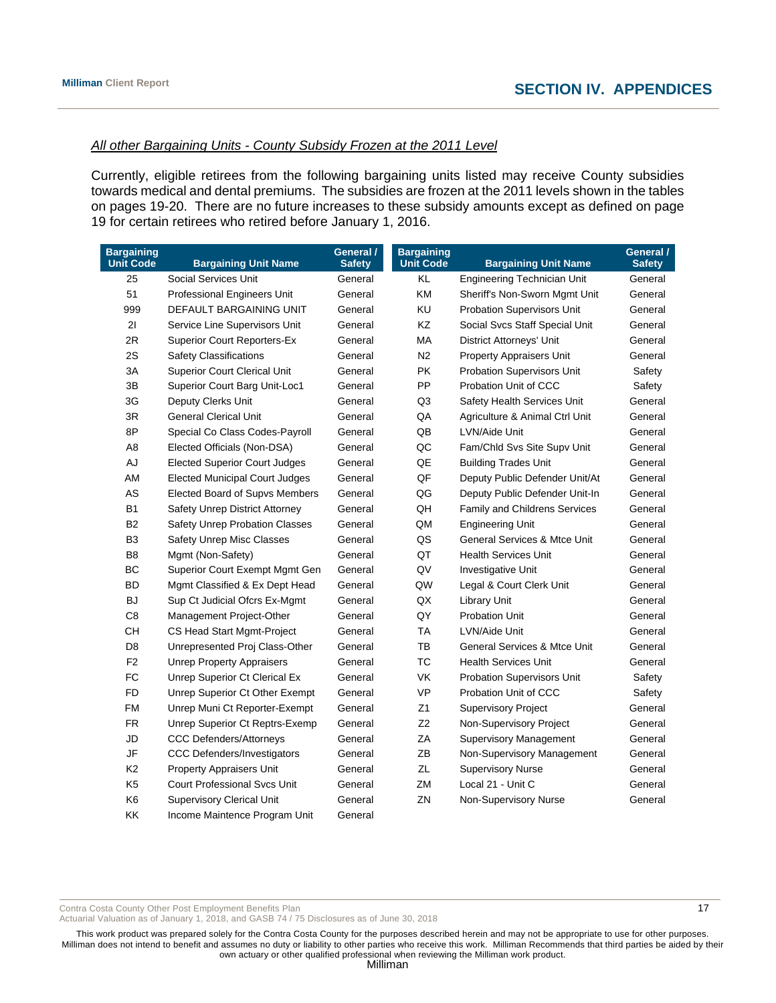#### *All other Bargaining Units - County Subsidy Frozen at the 2011 Level*

Currently, eligible retirees from the following bargaining units listed may receive County subsidies towards medical and dental premiums. The subsidies are frozen at the 2011 levels shown in the tables on pages 19-20. There are no future increases to these subsidy amounts except as defined on page 19 for certain retirees who retired before January 1, 2016.

| <b>Bargaining</b><br><b>Unit Code</b> | <b>Bargaining Unit Name</b>           | General /<br><b>Safety</b> | <b>Bargaining</b><br><b>Unit Code</b> | <b>Bargaining Unit Name</b>             | General /<br><b>Safety</b> |
|---------------------------------------|---------------------------------------|----------------------------|---------------------------------------|-----------------------------------------|----------------------------|
| 25                                    | Social Services Unit                  | General                    | KL                                    | <b>Engineering Technician Unit</b>      | General                    |
| 51                                    | Professional Engineers Unit           | General                    | KM                                    | Sheriff's Non-Sworn Mgmt Unit           | General                    |
| 999                                   | DEFAULT BARGAINING UNIT               | General                    | KU                                    | <b>Probation Supervisors Unit</b>       | General                    |
| 21                                    | Service Line Supervisors Unit         | General                    | KZ                                    | Social Svcs Staff Special Unit          | General                    |
| 2R                                    | <b>Superior Court Reporters-Ex</b>    | General                    | МA                                    | <b>District Attorneys' Unit</b>         | General                    |
| 2S                                    | <b>Safety Classifications</b>         | General                    | N <sub>2</sub>                        | <b>Property Appraisers Unit</b>         | General                    |
| 3A                                    | <b>Superior Court Clerical Unit</b>   | General                    | <b>PK</b>                             | <b>Probation Supervisors Unit</b>       | Safety                     |
| 3B                                    | Superior Court Barg Unit-Loc1         | General                    | PP                                    | Probation Unit of CCC                   | Safety                     |
| 3G                                    | Deputy Clerks Unit                    | General                    | Q <sub>3</sub>                        | Safety Health Services Unit             | General                    |
| 3R                                    | <b>General Clerical Unit</b>          | General                    | QA                                    | Agriculture & Animal Ctrl Unit          | General                    |
| 8P                                    | Special Co Class Codes-Payroll        | General                    | QB                                    | LVN/Aide Unit                           | General                    |
| A8                                    | Elected Officials (Non-DSA)           | General                    | QC                                    | Fam/Chld Svs Site Supv Unit             | General                    |
| AJ                                    | <b>Elected Superior Court Judges</b>  | General                    | $\mathsf{Q}\mathsf{E}$                | <b>Building Trades Unit</b>             | General                    |
| AM                                    | <b>Elected Municipal Court Judges</b> | General                    | QF                                    | Deputy Public Defender Unit/At          | General                    |
| AS                                    | Elected Board of Supvs Members        | General                    | QG                                    | Deputy Public Defender Unit-In          | General                    |
| <b>B1</b>                             | Safety Unrep District Attorney        | General                    | QH                                    | Family and Childrens Services           | General                    |
| B <sub>2</sub>                        | Safety Unrep Probation Classes        | General                    | QM                                    | <b>Engineering Unit</b>                 | General                    |
| B <sub>3</sub>                        | Safety Unrep Misc Classes             | General                    | QS                                    | <b>General Services &amp; Mtce Unit</b> | General                    |
| B <sub>8</sub>                        | Mgmt (Non-Safety)                     | General                    | QT                                    | <b>Health Services Unit</b>             | General                    |
| BC                                    | Superior Court Exempt Mgmt Gen        | General                    | QV                                    | Investigative Unit                      | General                    |
| <b>BD</b>                             | Mgmt Classified & Ex Dept Head        | General                    | QW                                    | Legal & Court Clerk Unit                | General                    |
| <b>BJ</b>                             | Sup Ct Judicial Ofcrs Ex-Mgmt         | General                    | QX                                    | <b>Library Unit</b>                     | General                    |
| C <sub>8</sub>                        | Management Project-Other              | General                    | QY                                    | <b>Probation Unit</b>                   | General                    |
| CH                                    | CS Head Start Mgmt-Project            | General                    | TA                                    | LVN/Aide Unit                           | General                    |
| D <sub>8</sub>                        | Unrepresented Proj Class-Other        | General                    | TB                                    | <b>General Services &amp; Mtce Unit</b> | General                    |
| F <sub>2</sub>                        | <b>Unrep Property Appraisers</b>      | General                    | <b>TC</b>                             | <b>Health Services Unit</b>             | General                    |
| FC                                    | Unrep Superior Ct Clerical Ex         | General                    | <b>VK</b>                             | <b>Probation Supervisors Unit</b>       | Safety                     |
| <b>FD</b>                             | Unrep Superior Ct Other Exempt        | General                    | <b>VP</b>                             | Probation Unit of CCC                   | Safety                     |
| <b>FM</b>                             | Unrep Muni Ct Reporter-Exempt         | General                    | Z1                                    | <b>Supervisory Project</b>              | General                    |
| <b>FR</b>                             | Unrep Superior Ct Reptrs-Exemp        | General                    | Z2                                    | Non-Supervisory Project                 | General                    |
| JD                                    | <b>CCC Defenders/Attorneys</b>        | General                    | ZA                                    | <b>Supervisory Management</b>           | General                    |
| JF                                    | <b>CCC Defenders/Investigators</b>    | General                    | ZB                                    | Non-Supervisory Management              | General                    |
| K <sub>2</sub>                        | Property Appraisers Unit              | General                    | ZL                                    | <b>Supervisory Nurse</b>                | General                    |
| K <sub>5</sub>                        | <b>Court Professional Sycs Unit</b>   | General                    | ZM                                    | Local 21 - Unit C                       | General                    |
| K6                                    | <b>Supervisory Clerical Unit</b>      | General                    | ZN                                    | Non-Supervisory Nurse                   | General                    |
| <b>KK</b>                             | Income Maintence Program Unit         | General                    |                                       |                                         |                            |

Contra Costa County Other Post Employment Benefits Plan 17 and 17 and 17 and 17 and 17 and 17 and 17 and 17 and 17 and 17 and 17 and 17 and 17 and 17 and 17 and 17 and 17 and 17 and 17 and 17 and 17 and 17 and 17 and 18 an

Actuarial Valuation as of January 1, 2018, and GASB 74 / 75 Disclosures as of June 30, 2018

This work product was prepared solely for the Contra Costa County for the purposes described herein and may not be appropriate to use for other purposes. Milliman does not intend to benefit and assumes no duty or liability to other parties who receive this work. Milliman Recommends that third parties be aided by their own actuary or other qualified professional when reviewing the Milliman work product.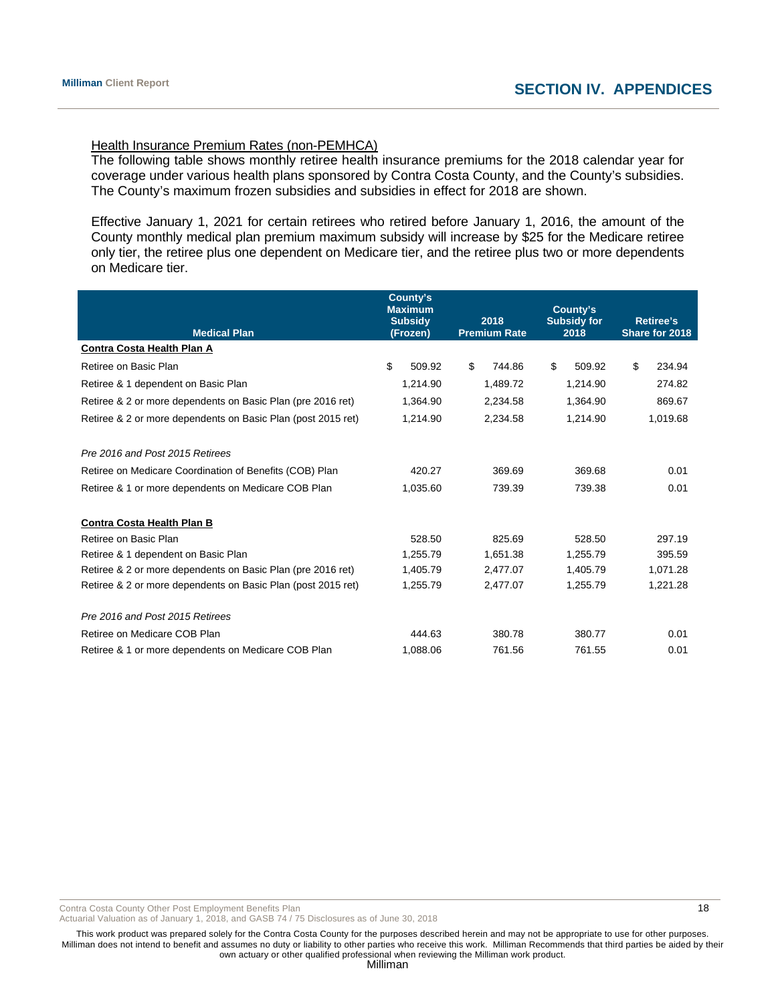# Health Insurance Premium Rates (non-PEMHCA)

The following table shows monthly retiree health insurance premiums for the 2018 calendar year for coverage under various health plans sponsored by Contra Costa County, and the County's subsidies. The County's maximum frozen subsidies and subsidies in effect for 2018 are shown.

Effective January 1, 2021 for certain retirees who retired before January 1, 2016, the amount of the County monthly medical plan premium maximum subsidy will increase by \$25 for the Medicare retiree only tier, the retiree plus one dependent on Medicare tier, and the retiree plus two or more dependents on Medicare tier.

| <b>Medical Plan</b>                                          | County's<br><b>Maximum</b><br><b>Subsidy</b><br>(Frozen) | 2018<br><b>Premium Rate</b> | County's<br><b>Subsidy for</b><br>2018 | <b>Retiree's</b><br>Share for 2018 |
|--------------------------------------------------------------|----------------------------------------------------------|-----------------------------|----------------------------------------|------------------------------------|
| <b>Contra Costa Health Plan A</b>                            |                                                          |                             |                                        |                                    |
| Retiree on Basic Plan                                        | \$<br>509.92                                             | \$<br>744.86                | \$<br>509.92                           | \$<br>234.94                       |
| Retiree & 1 dependent on Basic Plan                          | 1,214.90                                                 | 1,489.72                    | 1,214.90                               | 274.82                             |
| Retiree & 2 or more dependents on Basic Plan (pre 2016 ret)  | 1,364.90                                                 | 2,234.58                    | 1,364.90                               | 869.67                             |
| Retiree & 2 or more dependents on Basic Plan (post 2015 ret) | 1,214.90                                                 | 2,234.58                    | 1,214.90                               | 1,019.68                           |
| Pre 2016 and Post 2015 Retirees                              |                                                          |                             |                                        |                                    |
| Retiree on Medicare Coordination of Benefits (COB) Plan      | 420.27                                                   | 369.69                      | 369.68                                 | 0.01                               |
| Retiree & 1 or more dependents on Medicare COB Plan          | 1,035.60                                                 | 739.39                      | 739.38                                 | 0.01                               |
| <b>Contra Costa Health Plan B</b>                            |                                                          |                             |                                        |                                    |
| Retiree on Basic Plan                                        | 528.50                                                   | 825.69                      | 528.50                                 | 297.19                             |
| Retiree & 1 dependent on Basic Plan                          | 1.255.79                                                 | 1,651.38                    | 1,255.79                               | 395.59                             |
| Retiree & 2 or more dependents on Basic Plan (pre 2016 ret)  | 1,405.79                                                 | 2,477.07                    | 1,405.79                               | 1,071.28                           |
| Retiree & 2 or more dependents on Basic Plan (post 2015 ret) | 1,255.79                                                 | 2,477.07                    | 1,255.79                               | 1,221.28                           |
| Pre 2016 and Post 2015 Retirees                              |                                                          |                             |                                        |                                    |
| Retiree on Medicare COB Plan                                 | 444.63                                                   | 380.78                      | 380.77                                 | 0.01                               |
| Retiree & 1 or more dependents on Medicare COB Plan          | 1,088.06                                                 | 761.56                      | 761.55                                 | 0.01                               |

Contra Costa County Other Post Employment Benefits Plan 18 and 18 and 18 and 18 and 18 and 18 and 18 and 18 and 18 and 18 and 18 and 18 and 18 and 18 and 18 and 18 and 18 and 18 and 18 and 18 and 18 and 18 and 18 and 18 an

Actuarial Valuation as of January 1, 2018, and GASB 74 / 75 Disclosures as of June 30, 2018

This work product was prepared solely for the Contra Costa County for the purposes described herein and may not be appropriate to use for other purposes. Milliman does not intend to benefit and assumes no duty or liability to other parties who receive this work. Milliman Recommends that third parties be aided by their own actuary or other qualified professional when reviewing the Milliman work product.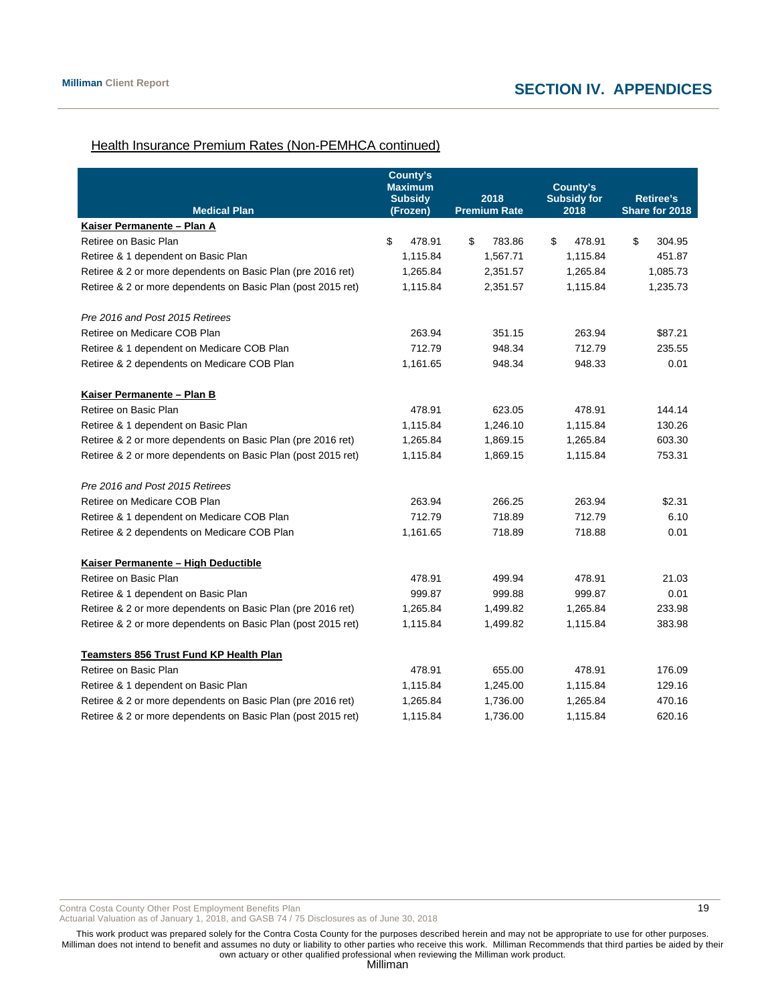# Health Insurance Premium Rates (Non-PEMHCA continued)

| <b>Medical Plan</b>                                          | <b>County's</b><br><b>Maximum</b><br><b>Subsidy</b><br>(Frozen) | 2018<br><b>Premium Rate</b> | County's<br><b>Subsidy for</b><br>2018 | <b>Retiree's</b><br>Share for 2018 |
|--------------------------------------------------------------|-----------------------------------------------------------------|-----------------------------|----------------------------------------|------------------------------------|
| Kaiser Permanente - Plan A                                   |                                                                 |                             |                                        |                                    |
| Retiree on Basic Plan                                        | \$<br>478.91                                                    | \$<br>783.86                | \$<br>478.91                           | \$<br>304.95                       |
| Retiree & 1 dependent on Basic Plan                          | 1,115.84                                                        | 1,567.71                    | 1,115.84                               | 451.87                             |
| Retiree & 2 or more dependents on Basic Plan (pre 2016 ret)  | 1,265.84                                                        | 2,351.57                    | 1,265.84                               | 1,085.73                           |
| Retiree & 2 or more dependents on Basic Plan (post 2015 ret) | 1,115.84                                                        | 2,351.57                    | 1,115.84                               | 1,235.73                           |
| Pre 2016 and Post 2015 Retirees                              |                                                                 |                             |                                        |                                    |
| Retiree on Medicare COB Plan                                 | 263.94                                                          | 351.15                      | 263.94                                 | \$87.21                            |
| Retiree & 1 dependent on Medicare COB Plan                   | 712.79                                                          | 948.34                      | 712.79                                 | 235.55                             |
| Retiree & 2 dependents on Medicare COB Plan                  | 1,161.65                                                        | 948.34                      | 948.33                                 | 0.01                               |
| Kaiser Permanente - Plan B                                   |                                                                 |                             |                                        |                                    |
| Retiree on Basic Plan                                        | 478.91                                                          | 623.05                      | 478.91                                 | 144.14                             |
| Retiree & 1 dependent on Basic Plan                          | 1,115.84                                                        | 1,246.10                    | 1,115.84                               | 130.26                             |
| Retiree & 2 or more dependents on Basic Plan (pre 2016 ret)  | 1,265.84                                                        | 1,869.15                    | 1,265.84                               | 603.30                             |
| Retiree & 2 or more dependents on Basic Plan (post 2015 ret) | 1,115.84                                                        | 1,869.15                    | 1,115.84                               | 753.31                             |
| Pre 2016 and Post 2015 Retirees                              |                                                                 |                             |                                        |                                    |
| Retiree on Medicare COB Plan                                 | 263.94                                                          | 266.25                      | 263.94                                 | \$2.31                             |
| Retiree & 1 dependent on Medicare COB Plan                   | 712.79                                                          | 718.89                      | 712.79                                 | 6.10                               |
| Retiree & 2 dependents on Medicare COB Plan                  | 1,161.65                                                        | 718.89                      | 718.88                                 | 0.01                               |
| Kaiser Permanente - High Deductible                          |                                                                 |                             |                                        |                                    |
| Retiree on Basic Plan                                        | 478.91                                                          | 499.94                      | 478.91                                 | 21.03                              |
| Retiree & 1 dependent on Basic Plan                          | 999.87                                                          | 999.88                      | 999.87                                 | 0.01                               |
| Retiree & 2 or more dependents on Basic Plan (pre 2016 ret)  | 1,265.84                                                        | 1,499.82                    | 1,265.84                               | 233.98                             |
| Retiree & 2 or more dependents on Basic Plan (post 2015 ret) | 1,115.84                                                        | 1,499.82                    | 1,115.84                               | 383.98                             |
| Teamsters 856 Trust Fund KP Health Plan                      |                                                                 |                             |                                        |                                    |
| Retiree on Basic Plan                                        | 478.91                                                          | 655.00                      | 478.91                                 | 176.09                             |
| Retiree & 1 dependent on Basic Plan                          | 1,115.84                                                        | 1,245.00                    | 1,115.84                               | 129.16                             |
| Retiree & 2 or more dependents on Basic Plan (pre 2016 ret)  | 1,265.84                                                        | 1,736.00                    | 1,265.84                               | 470.16                             |
| Retiree & 2 or more dependents on Basic Plan (post 2015 ret) | 1,115.84                                                        | 1,736.00                    | 1,115.84                               | 620.16                             |

Contra Costa County Other Post Employment Benefits Plan 19 and 19 and 19 and 19 and 19 and 19 and 19 and 19 and 19 and 19 and 19 and 19 and 19 and 19 and 19 and 19 and 19 and 19 and 19 and 19 and 19 and 19 and 19 and 19 an

Actuarial Valuation as of January 1, 2018, and GASB 74 / 75 Disclosures as of June 30, 2018

This work product was prepared solely for the Contra Costa County for the purposes described herein and may not be appropriate to use for other purposes. Milliman does not intend to benefit and assumes no duty or liability to other parties who receive this work. Milliman Recommends that third parties be aided by their own actuary or other qualified professional when reviewing the Milliman work product.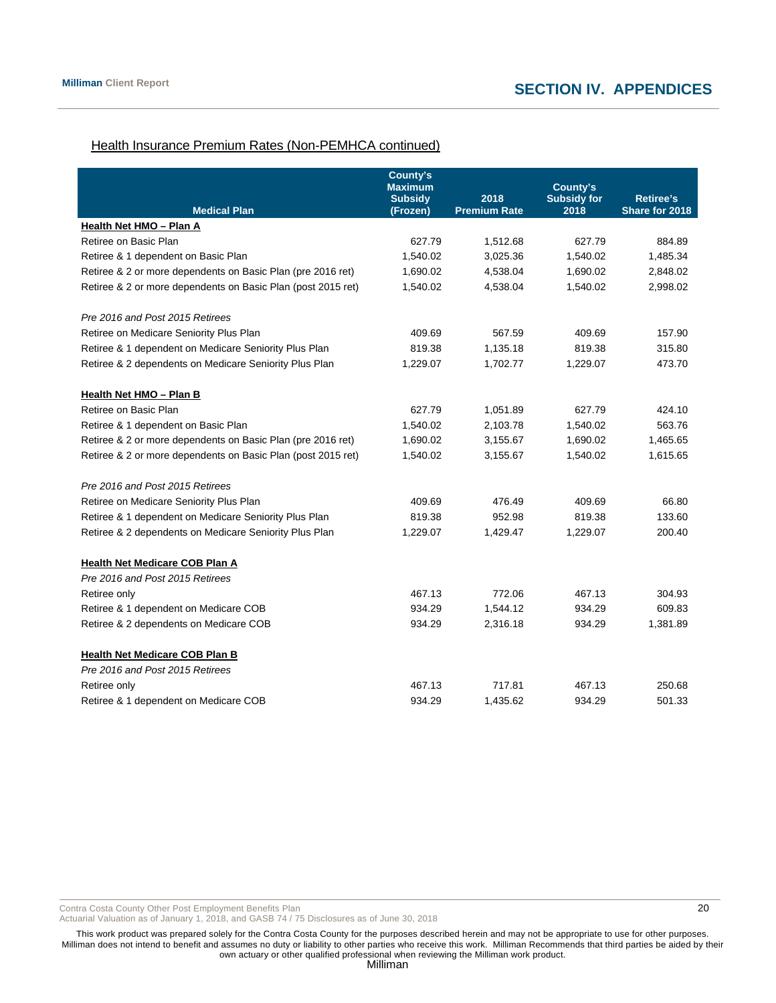# Health Insurance Premium Rates (Non-PEMHCA continued)

| <b>Medical Plan</b>                                          | <b>County's</b><br><b>Maximum</b><br><b>Subsidy</b><br>(Frozen) | 2018<br><b>Premium Rate</b> | County's<br><b>Subsidy for</b><br>2018 | Retiree's<br>Share for 2018 |
|--------------------------------------------------------------|-----------------------------------------------------------------|-----------------------------|----------------------------------------|-----------------------------|
| Health Net HMO - Plan A                                      |                                                                 |                             |                                        |                             |
| Retiree on Basic Plan                                        | 627.79                                                          | 1,512.68                    | 627.79                                 | 884.89                      |
| Retiree & 1 dependent on Basic Plan                          | 1,540.02                                                        | 3,025.36                    | 1,540.02                               | 1,485.34                    |
| Retiree & 2 or more dependents on Basic Plan (pre 2016 ret)  | 1,690.02                                                        | 4,538.04                    | 1,690.02                               | 2,848.02                    |
| Retiree & 2 or more dependents on Basic Plan (post 2015 ret) | 1,540.02                                                        | 4,538.04                    | 1,540.02                               | 2,998.02                    |
| Pre 2016 and Post 2015 Retirees                              |                                                                 |                             |                                        |                             |
| Retiree on Medicare Seniority Plus Plan                      | 409.69                                                          | 567.59                      | 409.69                                 | 157.90                      |
| Retiree & 1 dependent on Medicare Seniority Plus Plan        | 819.38                                                          | 1,135.18                    | 819.38                                 | 315.80                      |
| Retiree & 2 dependents on Medicare Seniority Plus Plan       | 1,229.07                                                        | 1,702.77                    | 1,229.07                               | 473.70                      |
| Health Net HMO - Plan B                                      |                                                                 |                             |                                        |                             |
| Retiree on Basic Plan                                        | 627.79                                                          | 1,051.89                    | 627.79                                 | 424.10                      |
| Retiree & 1 dependent on Basic Plan                          | 1,540.02                                                        | 2,103.78                    | 1,540.02                               | 563.76                      |
| Retiree & 2 or more dependents on Basic Plan (pre 2016 ret)  | 1,690.02                                                        | 3,155.67                    | 1,690.02                               | 1,465.65                    |
| Retiree & 2 or more dependents on Basic Plan (post 2015 ret) | 1,540.02                                                        | 3,155.67                    | 1,540.02                               | 1,615.65                    |
| Pre 2016 and Post 2015 Retirees                              |                                                                 |                             |                                        |                             |
| Retiree on Medicare Seniority Plus Plan                      | 409.69                                                          | 476.49                      | 409.69                                 | 66.80                       |
| Retiree & 1 dependent on Medicare Seniority Plus Plan        | 819.38                                                          | 952.98                      | 819.38                                 | 133.60                      |
| Retiree & 2 dependents on Medicare Seniority Plus Plan       | 1,229.07                                                        | 1,429.47                    | 1,229.07                               | 200.40                      |
| <b>Health Net Medicare COB Plan A</b>                        |                                                                 |                             |                                        |                             |
| Pre 2016 and Post 2015 Retirees                              |                                                                 |                             |                                        |                             |
| Retiree only                                                 | 467.13                                                          | 772.06                      | 467.13                                 | 304.93                      |
| Retiree & 1 dependent on Medicare COB                        | 934.29                                                          | 1,544.12                    | 934.29                                 | 609.83                      |
| Retiree & 2 dependents on Medicare COB                       | 934.29                                                          | 2,316.18                    | 934.29                                 | 1,381.89                    |
| Health Net Medicare COB Plan B                               |                                                                 |                             |                                        |                             |
| Pre 2016 and Post 2015 Retirees                              |                                                                 |                             |                                        |                             |
| Retiree only                                                 | 467.13                                                          | 717.81                      | 467.13                                 | 250.68                      |
| Retiree & 1 dependent on Medicare COB                        | 934.29                                                          | 1.435.62                    | 934.29                                 | 501.33                      |

Contra Costa County Other Post Employment Benefits Plan 20

Actuarial Valuation as of January 1, 2018, and GASB 74 / 75 Disclosures as of June 30, 2018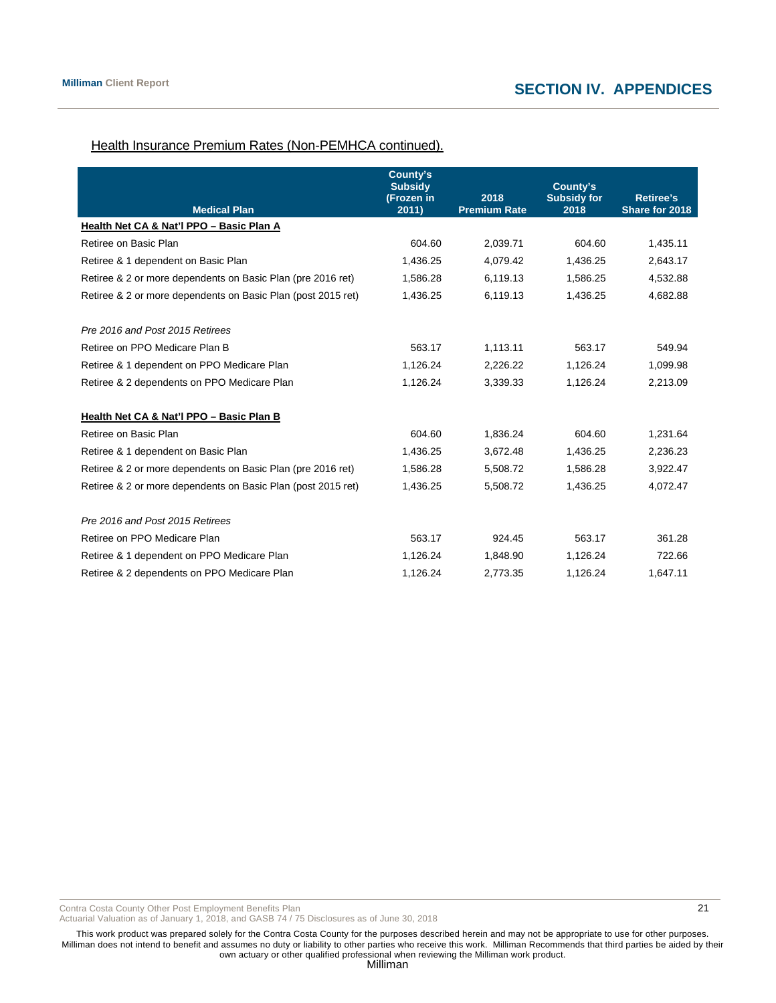# Health Insurance Premium Rates (Non-PEMHCA continued).

| <b>Medical Plan</b>                                          | County's<br><b>Subsidy</b><br>(Frozen in<br>2011) | 2018<br><b>Premium Rate</b> | County's<br><b>Subsidy for</b><br>2018 | <b>Retiree's</b><br>Share for 2018 |
|--------------------------------------------------------------|---------------------------------------------------|-----------------------------|----------------------------------------|------------------------------------|
| Health Net CA & Nat'l PPO - Basic Plan A                     |                                                   |                             |                                        |                                    |
|                                                              |                                                   |                             |                                        |                                    |
| Retiree on Basic Plan                                        | 604.60                                            | 2,039.71                    | 604.60                                 | 1,435.11                           |
| Retiree & 1 dependent on Basic Plan                          | 1,436.25                                          | 4,079.42                    | 1,436.25                               | 2,643.17                           |
| Retiree & 2 or more dependents on Basic Plan (pre 2016 ret)  | 1,586.28                                          | 6,119.13                    | 1,586.25                               | 4,532.88                           |
| Retiree & 2 or more dependents on Basic Plan (post 2015 ret) | 1,436.25                                          | 6,119.13                    | 1,436.25                               | 4,682.88                           |
| Pre 2016 and Post 2015 Retirees                              |                                                   |                             |                                        |                                    |
| Retiree on PPO Medicare Plan B                               | 563.17                                            | 1,113.11                    | 563.17                                 | 549.94                             |
| Retiree & 1 dependent on PPO Medicare Plan                   | 1,126.24                                          | 2,226.22                    | 1,126.24                               | 1,099.98                           |
| Retiree & 2 dependents on PPO Medicare Plan                  | 1,126.24                                          | 3,339.33                    | 1,126.24                               | 2,213.09                           |
| Health Net CA & Nat'l PPO - Basic Plan B                     |                                                   |                             |                                        |                                    |
| Retiree on Basic Plan                                        | 604.60                                            | 1,836.24                    | 604.60                                 | 1,231.64                           |
| Retiree & 1 dependent on Basic Plan                          | 1,436.25                                          | 3,672.48                    | 1,436.25                               | 2,236.23                           |
| Retiree & 2 or more dependents on Basic Plan (pre 2016 ret)  | 1,586.28                                          | 5,508.72                    | 1,586.28                               | 3,922.47                           |
| Retiree & 2 or more dependents on Basic Plan (post 2015 ret) | 1,436.25                                          | 5,508.72                    | 1,436.25                               | 4,072.47                           |
| Pre 2016 and Post 2015 Retirees                              |                                                   |                             |                                        |                                    |
| Retiree on PPO Medicare Plan                                 | 563.17                                            | 924.45                      | 563.17                                 | 361.28                             |
| Retiree & 1 dependent on PPO Medicare Plan                   | 1,126.24                                          | 1.848.90                    | 1,126.24                               | 722.66                             |
| Retiree & 2 dependents on PPO Medicare Plan                  | 1,126.24                                          | 2,773.35                    | 1,126.24                               | 1,647.11                           |

Contra Costa County Other Post Employment Benefits Plan 2012

Actuarial Valuation as of January 1, 2018, and GASB 74 / 75 Disclosures as of June 30, 2018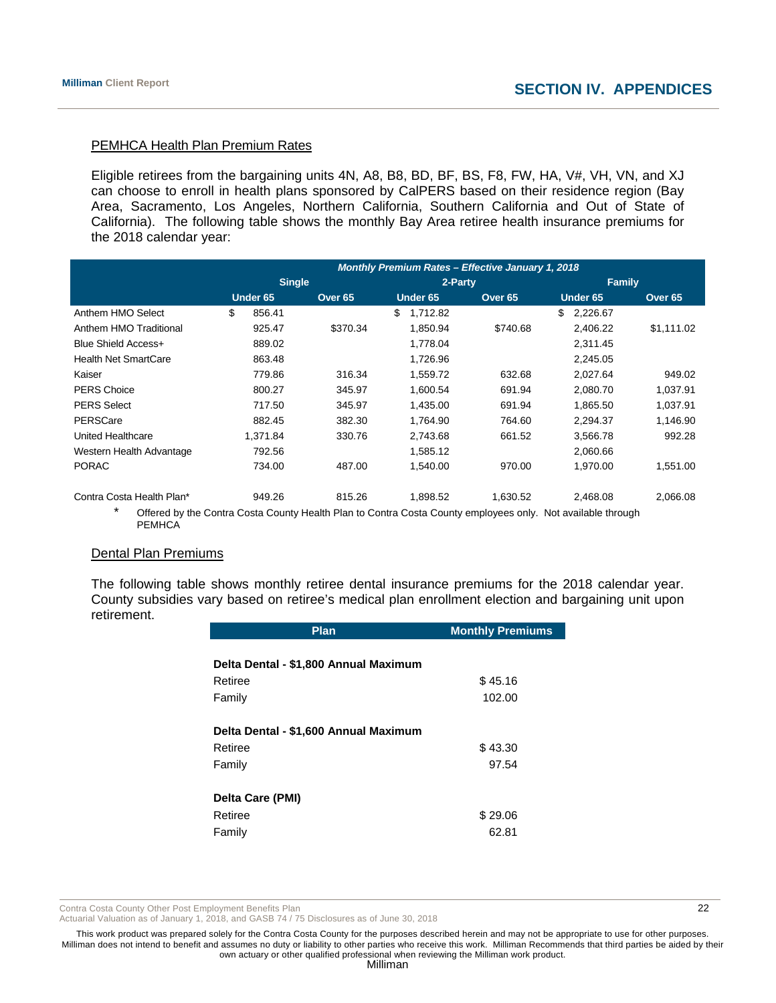# PEMHCA Health Plan Premium Rates

Eligible retirees from the bargaining units 4N, A8, B8, BD, BF, BS, F8, FW, HA, V#, VH, VN, and XJ can choose to enroll in health plans sponsored by CalPERS based on their residence region (Bay Area, Sacramento, Los Angeles, Northern California, Southern California and Out of State of California). The following table shows the monthly Bay Area retiree health insurance premiums for the 2018 calendar year:

|                             | <b>Monthly Premium Rates - Effective January 1, 2018</b> |          |                    |          |    |          |               |                    |                |  |                    |
|-----------------------------|----------------------------------------------------------|----------|--------------------|----------|----|----------|---------------|--------------------|----------------|--|--------------------|
|                             | <b>Single</b>                                            |          |                    | 2-Party  |    |          | <b>Family</b> |                    |                |  |                    |
|                             |                                                          | Under 65 | Over <sub>65</sub> |          |    | Under 65 |               | Over <sub>65</sub> | Under 65       |  | Over <sub>65</sub> |
| Anthem HMO Select           | \$                                                       | 856.41   |                    |          | \$ | 1.712.82 |               |                    | \$<br>2,226.67 |  |                    |
| Anthem HMO Traditional      |                                                          | 925.47   |                    | \$370.34 |    | 1,850.94 |               | \$740.68           | 2,406.22       |  | \$1,111.02         |
| Blue Shield Access+         |                                                          | 889.02   |                    |          |    | 1,778.04 |               |                    | 2,311.45       |  |                    |
| <b>Health Net SmartCare</b> |                                                          | 863.48   |                    |          |    | 1,726.96 |               |                    | 2,245.05       |  |                    |
| Kaiser                      |                                                          | 779.86   |                    | 316.34   |    | 1,559.72 |               | 632.68             | 2,027.64       |  | 949.02             |
| <b>PERS Choice</b>          |                                                          | 800.27   |                    | 345.97   |    | 1,600.54 |               | 691.94             | 2,080.70       |  | 1,037.91           |
| <b>PERS Select</b>          |                                                          | 717.50   |                    | 345.97   |    | 1,435.00 |               | 691.94             | 1,865.50       |  | 1,037.91           |
| PERSCare                    |                                                          | 882.45   |                    | 382.30   |    | 1,764.90 |               | 764.60             | 2,294.37       |  | 1,146.90           |
| United Healthcare           |                                                          | 1,371.84 |                    | 330.76   |    | 2,743.68 |               | 661.52             | 3,566.78       |  | 992.28             |
| Western Health Advantage    |                                                          | 792.56   |                    |          |    | 1,585.12 |               |                    | 2,060.66       |  |                    |
| <b>PORAC</b>                |                                                          | 734.00   |                    | 487.00   |    | 1,540.00 |               | 970.00             | 1,970.00       |  | 1,551.00           |
| Contra Costa Health Plan*   |                                                          | 949.26   |                    | 815.26   |    | 1,898.52 |               | 1.630.52           | 2.468.08       |  | 2.066.08           |

Offered by the Contra Costa County Health Plan to Contra Costa County employees only. Not available through **PEMHCA** 

#### Dental Plan Premiums

The following table shows monthly retiree dental insurance premiums for the 2018 calendar year. County subsidies vary based on retiree's medical plan enrollment election and bargaining unit upon retirement.

| Plan                                  | <b>Monthly Premiums</b> |
|---------------------------------------|-------------------------|
| Delta Dental - \$1,800 Annual Maximum |                         |
| Retiree                               | \$45.16                 |
| Family                                | 102.00                  |
| Delta Dental - \$1,600 Annual Maximum |                         |
| Retiree                               | \$43.30                 |
| Family                                | 97.54                   |
| Delta Care (PMI)                      |                         |
| Retiree                               | \$29.06                 |
| Family                                | 62.81                   |

Contra Costa County Other Post Employment Benefits Plan 20 and 20 and 22 and 22 and 22 and 22 and 22 and 22 and 22 and 22 and 22 and 22 and 22 and 22 and 22 and 22 and 20 and 22 and 20 and 20 and 20 and 20 and 20 and 20 an

Actuarial Valuation as of January 1, 2018, and GASB 74 / 75 Disclosures as of June 30, 2018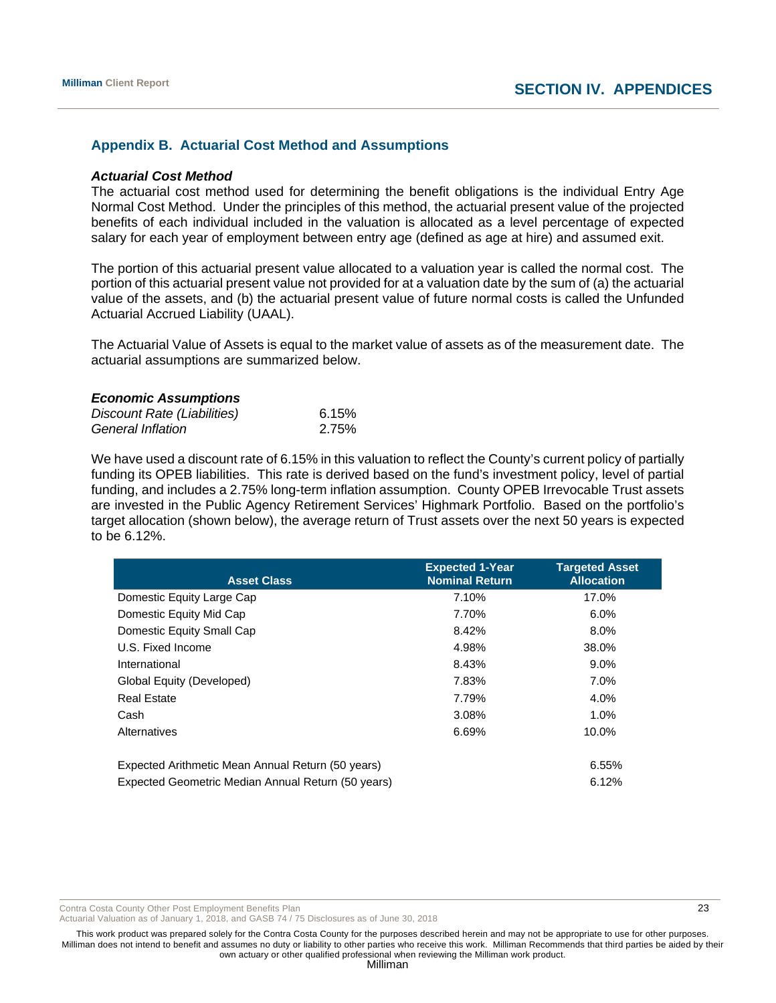# **Appendix B. Actuarial Cost Method and Assumptions**

#### *Actuarial Cost Method*

The actuarial cost method used for determining the benefit obligations is the individual Entry Age Normal Cost Method. Under the principles of this method, the actuarial present value of the projected benefits of each individual included in the valuation is allocated as a level percentage of expected salary for each year of employment between entry age (defined as age at hire) and assumed exit.

The portion of this actuarial present value allocated to a valuation year is called the normal cost. The portion of this actuarial present value not provided for at a valuation date by the sum of (a) the actuarial value of the assets, and (b) the actuarial present value of future normal costs is called the Unfunded Actuarial Accrued Liability (UAAL).

The Actuarial Value of Assets is equal to the market value of assets as of the measurement date. The actuarial assumptions are summarized below.

#### *Economic Assumptions*

| Discount Rate (Liabilities) | 6.15% |
|-----------------------------|-------|
| <b>General Inflation</b>    | 2.75% |

We have used a discount rate of 6.15% in this valuation to reflect the County's current policy of partially funding its OPEB liabilities. This rate is derived based on the fund's investment policy, level of partial funding, and includes a 2.75% long-term inflation assumption. County OPEB Irrevocable Trust assets are invested in the Public Agency Retirement Services' Highmark Portfolio. Based on the portfolio's target allocation (shown below), the average return of Trust assets over the next 50 years is expected to be 6.12%.

| <b>Asset Class</b>                                 | <b>Expected 1-Year</b><br><b>Nominal Return</b> | <b>Targeted Asset</b><br><b>Allocation</b> |
|----------------------------------------------------|-------------------------------------------------|--------------------------------------------|
| Domestic Equity Large Cap                          | 7.10%                                           | 17.0%                                      |
| Domestic Equity Mid Cap                            | 7.70%                                           | 6.0%                                       |
| Domestic Equity Small Cap                          | 8.42%                                           | $8.0\%$                                    |
| U.S. Fixed Income                                  | 4.98%                                           | 38.0%                                      |
| International                                      | 8.43%                                           | $9.0\%$                                    |
| Global Equity (Developed)                          | 7.83%                                           | 7.0%                                       |
| <b>Real Estate</b>                                 | 7.79%                                           | 4.0%                                       |
| Cash                                               | 3.08%                                           | 1.0%                                       |
| Alternatives                                       | 6.69%                                           | 10.0%                                      |
| Expected Arithmetic Mean Annual Return (50 years)  |                                                 | 6.55%                                      |
| Expected Geometric Median Annual Return (50 years) |                                                 | 6.12%                                      |

Contra Costa County Other Post Employment Benefits Plan 23 and 23 and 23 and 23 and 23 and 23 and 23 and 23 and 23 and 23 and 23 and 23 and 23 and 23 and 23 and 23 and 23 and 2012 12:30 and 2012 12:30 and 2012 12:30 and 20

Actuarial Valuation as of January 1, 2018, and GASB 74 / 75 Disclosures as of June 30, 2018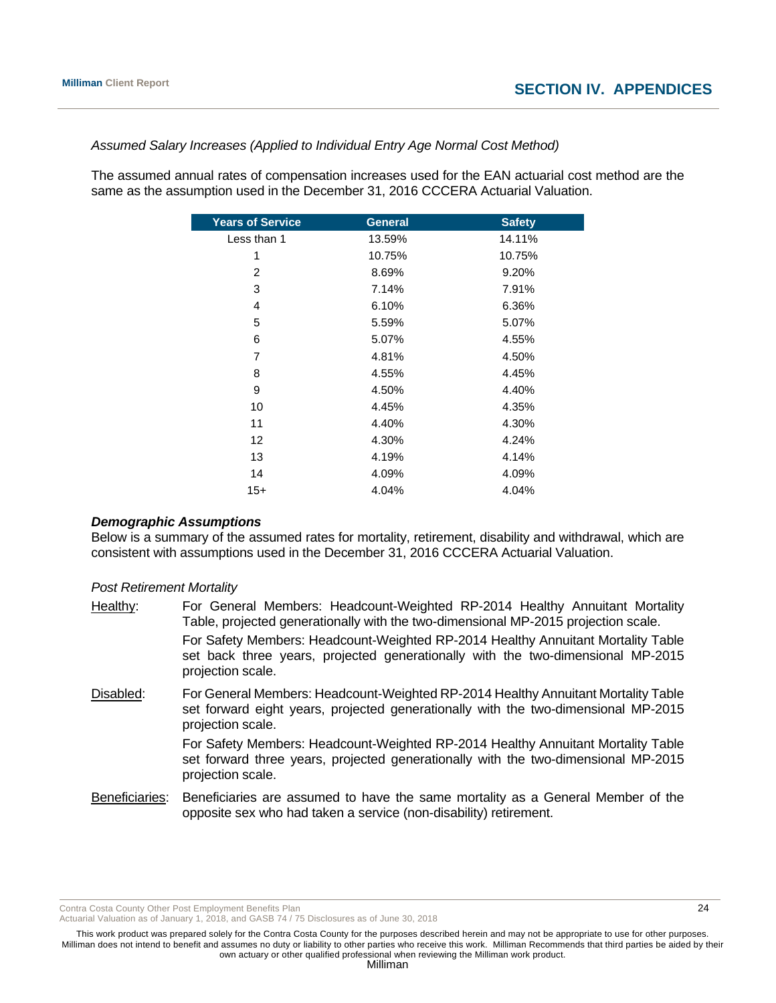#### *Assumed Salary Increases (Applied to Individual Entry Age Normal Cost Method)*

The assumed annual rates of compensation increases used for the EAN actuarial cost method are the same as the assumption used in the December 31, 2016 CCCERA Actuarial Valuation.

| <b>Years of Service</b> | <b>General</b> | <b>Safety</b> |
|-------------------------|----------------|---------------|
| Less than 1             | 13.59%         | 14.11%        |
| 1                       | 10.75%         | 10.75%        |
| $\overline{2}$          | 8.69%          | 9.20%         |
| 3                       | 7.14%          | 7.91%         |
| 4                       | 6.10%          | 6.36%         |
| 5                       | 5.59%          | 5.07%         |
| 6                       | 5.07%          | 4.55%         |
| $\overline{7}$          | 4.81%          | 4.50%         |
| 8                       | 4.55%          | 4.45%         |
| 9                       | 4.50%          | 4.40%         |
| 10                      | 4.45%          | 4.35%         |
| 11                      | 4.40%          | 4.30%         |
| 12                      | 4.30%          | 4.24%         |
| 13                      | 4.19%          | 4.14%         |
| 14                      | 4.09%          | 4.09%         |
| $15+$                   | 4.04%          | 4.04%         |

#### *Demographic Assumptions*

Below is a summary of the assumed rates for mortality, retirement, disability and withdrawal, which are consistent with assumptions used in the December 31, 2016 CCCERA Actuarial Valuation.

#### *Post Retirement Mortality*

| Healthy:  | For General Members: Headcount-Weighted RP-2014 Healthy Annuitant Mortality<br>Table, projected generationally with the two-dimensional MP-2015 projection scale.                            |
|-----------|----------------------------------------------------------------------------------------------------------------------------------------------------------------------------------------------|
|           | For Safety Members: Headcount-Weighted RP-2014 Healthy Annuitant Mortality Table<br>set back three years, projected generationally with the two-dimensional MP-2015<br>projection scale.     |
| Disabled: | For General Members: Headcount-Weighted RP-2014 Healthy Annuitant Mortality Table<br>set forward eight years, projected generationally with the two-dimensional MP-2015<br>projection scale. |
|           | For Safety Members: Headcount-Weighted RP-2014 Healthy Annuitant Mortality Table<br>set forward three years, projected generationally with the two-dimensional MP-2015<br>projection scale.  |

Beneficiaries: Beneficiaries are assumed to have the same mortality as a General Member of the opposite sex who had taken a service (non-disability) retirement.

Contra Costa County Other Post Employment Benefits Plan 2008 2008 2009 2009 2009 2009 2009 2012 2013

Actuarial Valuation as of January 1, 2018, and GASB 74 / 75 Disclosures as of June 30, 2018

This work product was prepared solely for the Contra Costa County for the purposes described herein and may not be appropriate to use for other purposes. Milliman does not intend to benefit and assumes no duty or liability to other parties who receive this work. Milliman Recommends that third parties be aided by their own actuary or other qualified professional when reviewing the Milliman work product.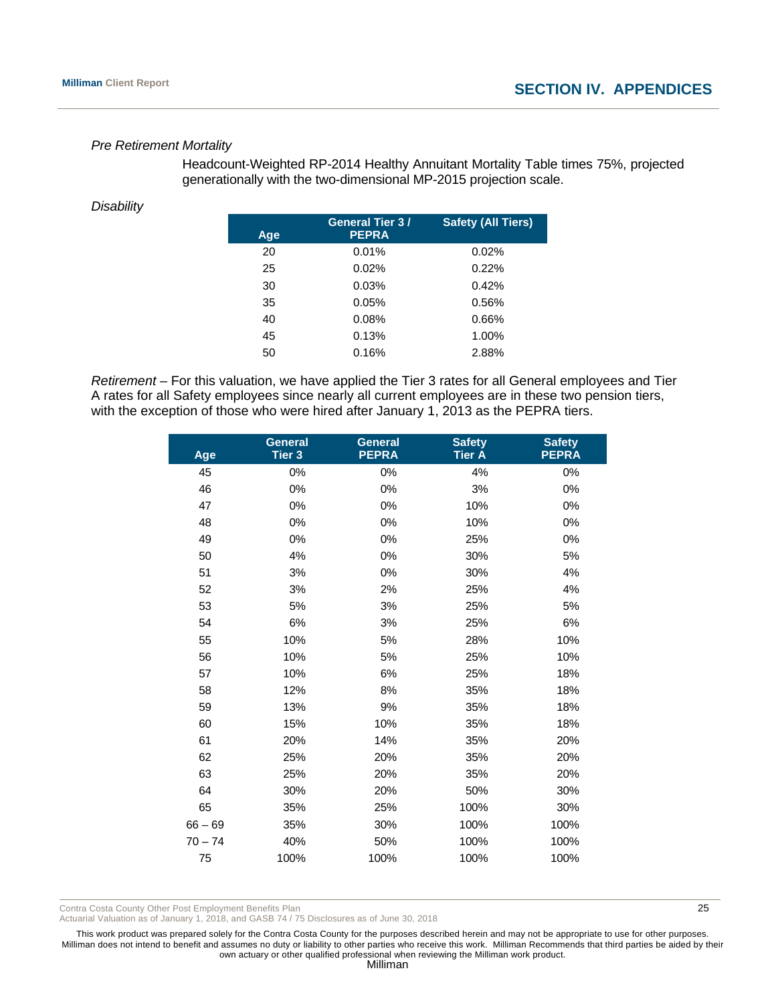#### *Pre Retirement Mortality*

 Headcount-Weighted RP-2014 Healthy Annuitant Mortality Table times 75%, projected generationally with the two-dimensional MP-2015 projection scale.

#### *Disability*

| Age | <b>General Tier 3/</b><br><b>PEPRA</b> | <b>Safety (All Tiers)</b> |
|-----|----------------------------------------|---------------------------|
| 20  | 0.01%                                  | 0.02%                     |
| 25  | 0.02%                                  | 0.22%                     |
| 30  | 0.03%                                  | 0.42%                     |
| 35  | 0.05%                                  | 0.56%                     |
| 40  | 0.08%                                  | 0.66%                     |
| 45  | 0.13%                                  | 1.00%                     |
| 50  | 0.16%                                  | 2.88%                     |

*Retirement –* For this valuation, we have applied the Tier 3 rates for all General employees and Tier A rates for all Safety employees since nearly all current employees are in these two pension tiers, with the exception of those who were hired after January 1, 2013 as the PEPRA tiers.

| Age       | <b>General</b><br>Tier <sub>3</sub> | <b>General</b><br><b>PEPRA</b> | <b>Safety</b><br><b>Tier A</b> | <b>Safety</b><br><b>PEPRA</b> |
|-----------|-------------------------------------|--------------------------------|--------------------------------|-------------------------------|
| 45        | 0%                                  | 0%                             | 4%                             | 0%                            |
| 46        | 0%                                  | 0%                             | 3%                             | 0%                            |
| 47        | 0%                                  | 0%                             | 10%                            | 0%                            |
| 48        | 0%                                  | 0%                             | 10%                            | 0%                            |
| 49        | 0%                                  | 0%                             | 25%                            | 0%                            |
| 50        | 4%                                  | 0%                             | 30%                            | 5%                            |
| 51        | 3%                                  | 0%                             | 30%                            | 4%                            |
| 52        | 3%                                  | 2%                             | 25%                            | 4%                            |
| 53        | 5%                                  | 3%                             | 25%                            | 5%                            |
| 54        | 6%                                  | 3%                             | 25%                            | 6%                            |
| 55        | 10%                                 | 5%                             | 28%                            | 10%                           |
| 56        | 10%                                 | 5%                             | 25%                            | 10%                           |
| 57        | 10%                                 | 6%                             | 25%                            | 18%                           |
| 58        | 12%                                 | 8%                             | 35%                            | 18%                           |
| 59        | 13%                                 | 9%                             | 35%                            | 18%                           |
| 60        | 15%                                 | 10%                            | 35%                            | 18%                           |
| 61        | 20%                                 | 14%                            | 35%                            | 20%                           |
| 62        | 25%                                 | 20%                            | 35%                            | 20%                           |
| 63        | 25%                                 | 20%                            | 35%                            | 20%                           |
| 64        | 30%                                 | 20%                            | 50%                            | 30%                           |
| 65        | 35%                                 | 25%                            | 100%                           | 30%                           |
| $66 - 69$ | 35%                                 | 30%                            | 100%                           | 100%                          |
| $70 - 74$ | 40%                                 | 50%                            | 100%                           | 100%                          |
| 75        | 100%                                | 100%                           | 100%                           | 100%                          |

Contra Costa County Other Post Employment Benefits Plan 25

Actuarial Valuation as of January 1, 2018, and GASB 74 / 75 Disclosures as of June 30, 2018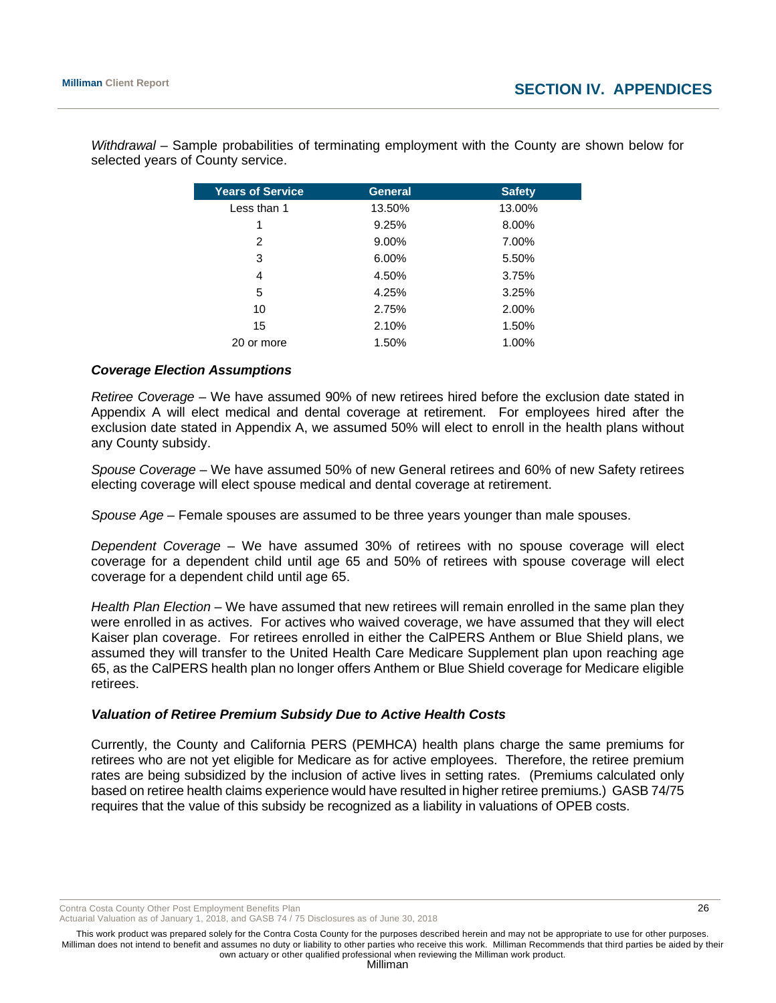| <b>Years of Service</b> | <b>General</b> | <b>Safety</b> |
|-------------------------|----------------|---------------|
| Less than 1             | 13.50%         | 13.00%        |
| 1                       | 9.25%          | 8.00%         |
| 2                       | 9.00%          | 7.00%         |
| 3                       | 6.00%          | 5.50%         |
| 4                       | 4.50%          | 3.75%         |
| 5                       | 4.25%          | 3.25%         |
| 10                      | 2.75%          | 2.00%         |
| 15                      | 2.10%          | 1.50%         |
| 20 or more              | 1.50%          | 1.00%         |

*Withdrawal* – Sample probabilities of terminating employment with the County are shown below for selected years of County service.

#### *Coverage Election Assumptions*

*Retiree Coverage –* We have assumed 90% of new retirees hired before the exclusion date stated in Appendix A will elect medical and dental coverage at retirement. For employees hired after the exclusion date stated in Appendix A, we assumed 50% will elect to enroll in the health plans without any County subsidy.

*Spouse Coverage* – We have assumed 50% of new General retirees and 60% of new Safety retirees electing coverage will elect spouse medical and dental coverage at retirement.

*Spouse Age* – Female spouses are assumed to be three years younger than male spouses.

*Dependent Coverage –* We have assumed 30% of retirees with no spouse coverage will elect coverage for a dependent child until age 65 and 50% of retirees with spouse coverage will elect coverage for a dependent child until age 65.

*Health Plan Election* – We have assumed that new retirees will remain enrolled in the same plan they were enrolled in as actives. For actives who waived coverage, we have assumed that they will elect Kaiser plan coverage. For retirees enrolled in either the CalPERS Anthem or Blue Shield plans, we assumed they will transfer to the United Health Care Medicare Supplement plan upon reaching age 65, as the CalPERS health plan no longer offers Anthem or Blue Shield coverage for Medicare eligible retirees.

#### *Valuation of Retiree Premium Subsidy Due to Active Health Costs*

Currently, the County and California PERS (PEMHCA) health plans charge the same premiums for retirees who are not yet eligible for Medicare as for active employees. Therefore, the retiree premium rates are being subsidized by the inclusion of active lives in setting rates. (Premiums calculated only based on retiree health claims experience would have resulted in higher retiree premiums.) GASB 74/75 requires that the value of this subsidy be recognized as a liability in valuations of OPEB costs.

Contra Costa County Other Post Employment Benefits Plan 26

Actuarial Valuation as of January 1, 2018, and GASB 74 / 75 Disclosures as of June 30, 2018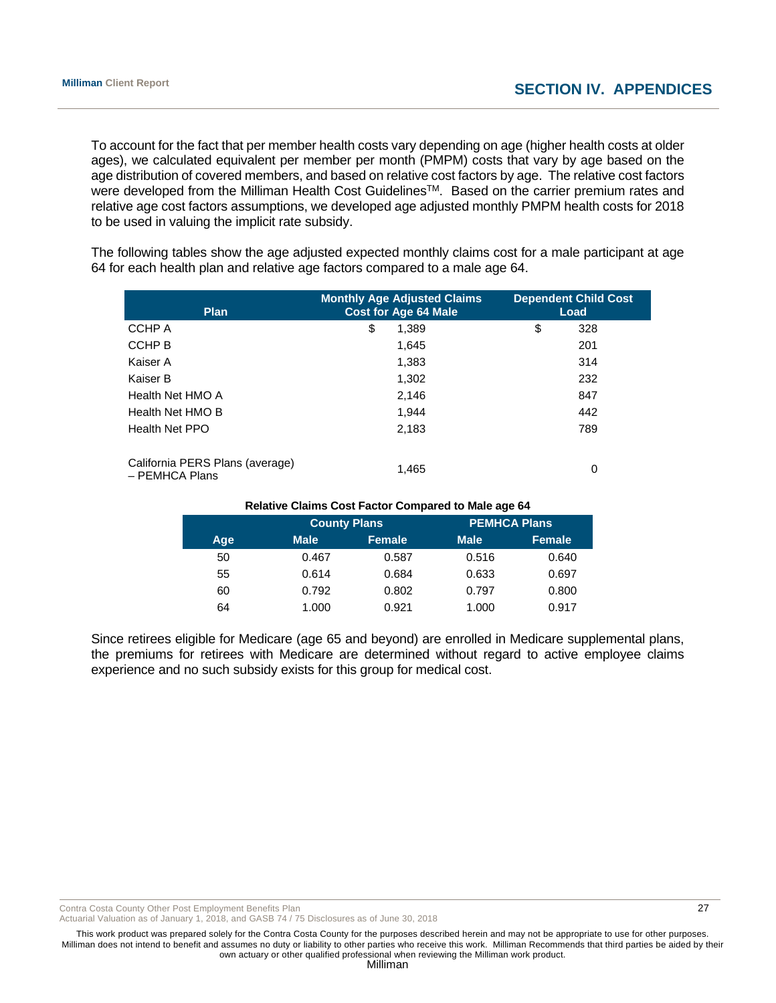To account for the fact that per member health costs vary depending on age (higher health costs at older ages), we calculated equivalent per member per month (PMPM) costs that vary by age based on the age distribution of covered members, and based on relative cost factors by age. The relative cost factors were developed from the Milliman Health Cost Guidelines<sup>TM</sup>. Based on the carrier premium rates and relative age cost factors assumptions, we developed age adjusted monthly PMPM health costs for 2018 to be used in valuing the implicit rate subsidy.

The following tables show the age adjusted expected monthly claims cost for a male participant at age 64 for each health plan and relative age factors compared to a male age 64.

| <b>Plan</b>                                       | <b>Monthly Age Adjusted Claims</b><br><b>Cost for Age 64 Male</b> | <b>Dependent Child Cost</b><br>Load |  |
|---------------------------------------------------|-------------------------------------------------------------------|-------------------------------------|--|
| CCHP A                                            | \$<br>1.389                                                       | \$<br>328                           |  |
| CCHP B                                            | 1.645                                                             | 201                                 |  |
| Kaiser A                                          | 1,383                                                             | 314                                 |  |
| Kaiser B                                          | 1,302                                                             | 232                                 |  |
| Health Net HMO A                                  | 2,146                                                             | 847                                 |  |
| Health Net HMO B                                  | 1.944                                                             | 442                                 |  |
| <b>Health Net PPO</b>                             | 2,183                                                             | 789                                 |  |
| California PERS Plans (average)<br>- PEMHCA Plans | 1.465                                                             | 0                                   |  |

| <b>Relative Claims Cost Factor Compared to Male age 64</b> |             |                     |             |                     |  |
|------------------------------------------------------------|-------------|---------------------|-------------|---------------------|--|
|                                                            |             | <b>County Plans</b> |             | <b>PEMHCA Plans</b> |  |
| Age                                                        | <b>Male</b> | <b>Female</b>       | <b>Male</b> | <b>Female</b>       |  |
| 50                                                         | 0.467       | 0.587               | 0.516       | 0.640               |  |
| 55                                                         | 0.614       | 0.684               | 0.633       | 0.697               |  |
| 60                                                         | 0.792       | 0.802               | 0.797       | 0.800               |  |
| 64                                                         | 1.000       | 0.921               | 1.000       | 0.917               |  |

Since retirees eligible for Medicare (age 65 and beyond) are enrolled in Medicare supplemental plans, the premiums for retirees with Medicare are determined without regard to active employee claims experience and no such subsidy exists for this group for medical cost.

Contra Costa County Other Post Employment Benefits Plan 27 and 27 and 27 and 27 and 27 and 27 and 27 and 27 and 27 and 27 and 27 and 27 and 27 and 27 and 27 and 27 and 27 and 27 and 27 and 27 and 27 and 27 and 27 and 27 an

Actuarial Valuation as of January 1, 2018, and GASB 74 / 75 Disclosures as of June 30, 2018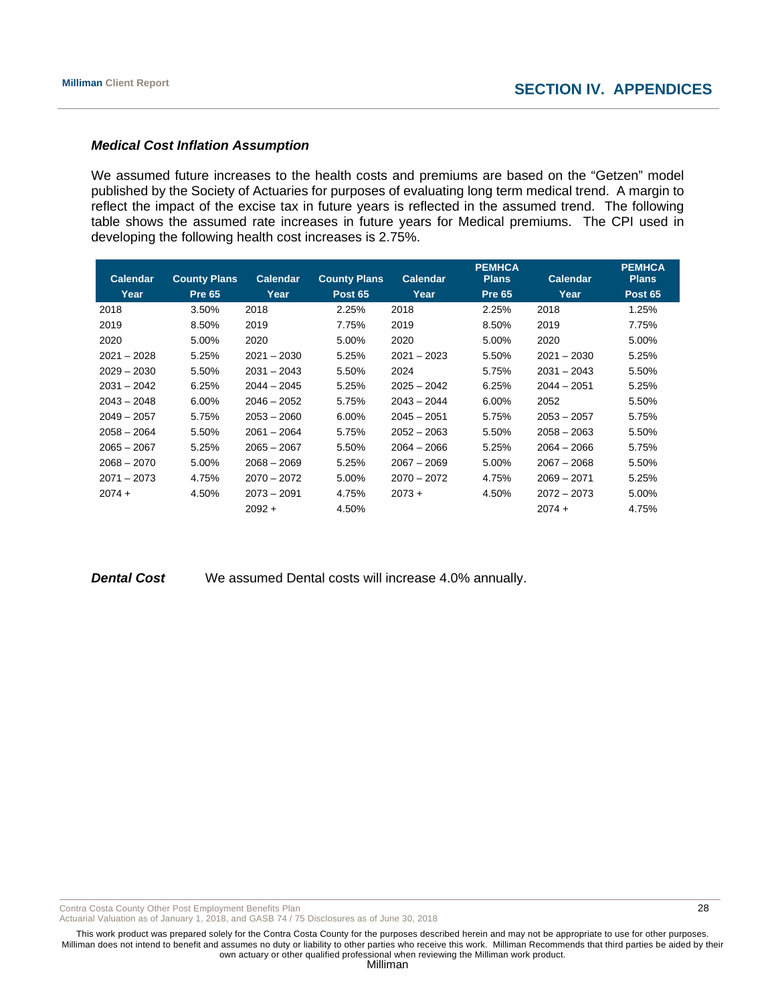#### *Medical Cost Inflation Assumption*

We assumed future increases to the health costs and premiums are based on the "Getzen" model published by the Society of Actuaries for purposes of evaluating long term medical trend. A margin to reflect the impact of the excise tax in future years is reflected in the assumed trend. The following table shows the assumed rate increases in future years for Medical premiums. The CPI used in developing the following health cost increases is 2.75%.

|               |                     |                 |                     |                 | <b>PEMHCA</b> |                 | <b>PEMHCA</b>  |
|---------------|---------------------|-----------------|---------------------|-----------------|---------------|-----------------|----------------|
| Calendar      | <b>County Plans</b> | <b>Calendar</b> | <b>County Plans</b> | <b>Calendar</b> | <b>Plans</b>  | <b>Calendar</b> | <b>Plans</b>   |
| Year          | <b>Pre 65</b>       | Year            | <b>Post 65</b>      | Year            | <b>Pre 65</b> | Year            | <b>Post 65</b> |
| 2018          | 3.50%               | 2018            | 2.25%               | 2018            | 2.25%         | 2018            | 1.25%          |
| 2019          | 8.50%               | 2019            | 7.75%               | 2019            | 8.50%         | 2019            | 7.75%          |
| 2020          | 5.00%               | 2020            | 5.00%               | 2020            | 5.00%         | 2020            | 5.00%          |
| $2021 - 2028$ | 5.25%               | $2021 - 2030$   | 5.25%               | $2021 - 2023$   | 5.50%         | $2021 - 2030$   | 5.25%          |
| $2029 - 2030$ | 5.50%               | $2031 - 2043$   | 5.50%               | 2024            | 5.75%         | $2031 - 2043$   | 5.50%          |
| $2031 - 2042$ | 6.25%               | $2044 - 2045$   | 5.25%               | $2025 - 2042$   | 6.25%         | $2044 - 2051$   | 5.25%          |
| $2043 - 2048$ | 6.00%               | $2046 - 2052$   | 5.75%               | $2043 - 2044$   | 6.00%         | 2052            | 5.50%          |
| $2049 - 2057$ | 5.75%               | $2053 - 2060$   | 6.00%               | $2045 - 2051$   | 5.75%         | $2053 - 2057$   | 5.75%          |
| $2058 - 2064$ | 5.50%               | $2061 - 2064$   | 5.75%               | $2052 - 2063$   | 5.50%         | $2058 - 2063$   | 5.50%          |
| $2065 - 2067$ | 5.25%               | $2065 - 2067$   | 5.50%               | $2064 - 2066$   | 5.25%         | $2064 - 2066$   | 5.75%          |
| $2068 - 2070$ | 5.00%               | $2068 - 2069$   | 5.25%               | $2067 - 2069$   | 5.00%         | $2067 - 2068$   | 5.50%          |
| $2071 - 2073$ | 4.75%               | $2070 - 2072$   | 5.00%               | $2070 - 2072$   | 4.75%         | $2069 - 2071$   | 5.25%          |
| $2074 +$      | 4.50%               | $2073 - 2091$   | 4.75%               | $2073 +$        | 4.50%         | $2072 - 2073$   | 5.00%          |
|               |                     | $2092 +$        | 4.50%               |                 |               | $2074 +$        | 4.75%          |

**Dental Cost** We assumed Dental costs will increase 4.0% annually.

Contra Costa County Other Post Employment Benefits Plan 28 and 20 and 28 and 28 and 28 and 28 and 28 and 28 and 28 and 28 and 28 and 28 and 28 and 28 and 28 and 28 and 28 and 28 and 28 and 28 and 28 and 28 and 20 and 20 an

Actuarial Valuation as of January 1, 2018, and GASB 74 / 75 Disclosures as of June 30, 2018

This work product was prepared solely for the Contra Costa County for the purposes described herein and may not be appropriate to use for other purposes. Milliman does not intend to benefit and assumes no duty or liability to other parties who receive this work. Milliman Recommends that third parties be aided by their own actuary or other qualified professional when reviewing the Milliman work product.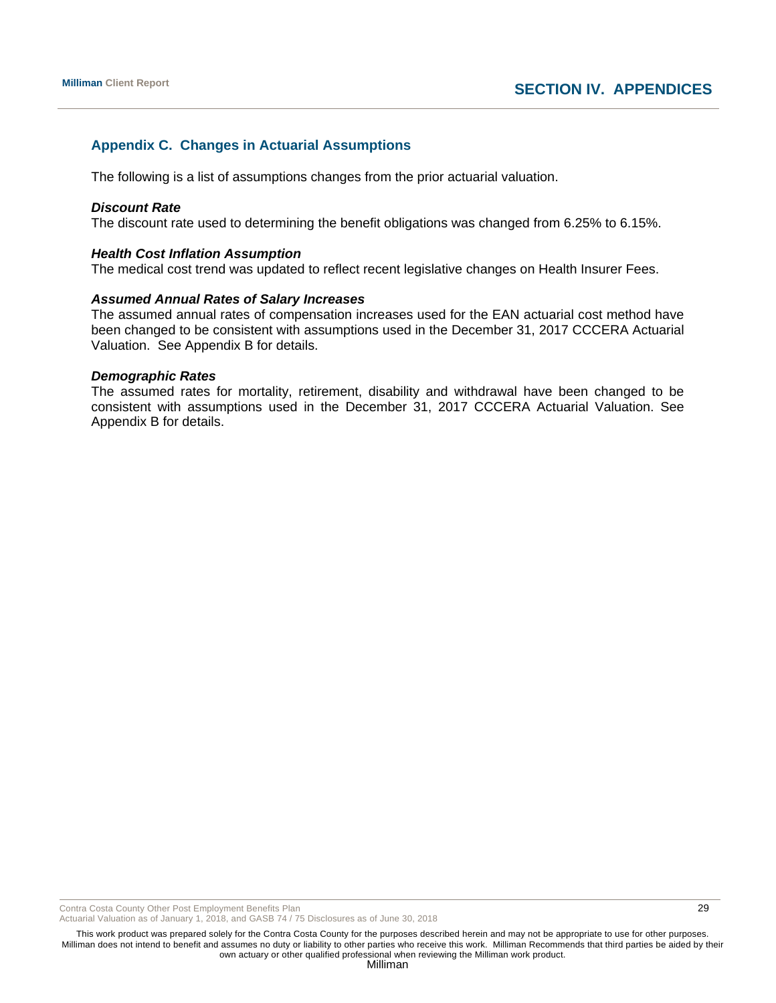# **Appendix C. Changes in Actuarial Assumptions**

The following is a list of assumptions changes from the prior actuarial valuation.

#### *Discount Rate*

The discount rate used to determining the benefit obligations was changed from 6.25% to 6.15%.

#### *Health Cost Inflation Assumption*

The medical cost trend was updated to reflect recent legislative changes on Health Insurer Fees.

#### *Assumed Annual Rates of Salary Increases*

The assumed annual rates of compensation increases used for the EAN actuarial cost method have been changed to be consistent with assumptions used in the December 31, 2017 CCCERA Actuarial Valuation. See Appendix B for details.

#### *Demographic Rates*

The assumed rates for mortality, retirement, disability and withdrawal have been changed to be consistent with assumptions used in the December 31, 2017 CCCERA Actuarial Valuation. See Appendix B for details.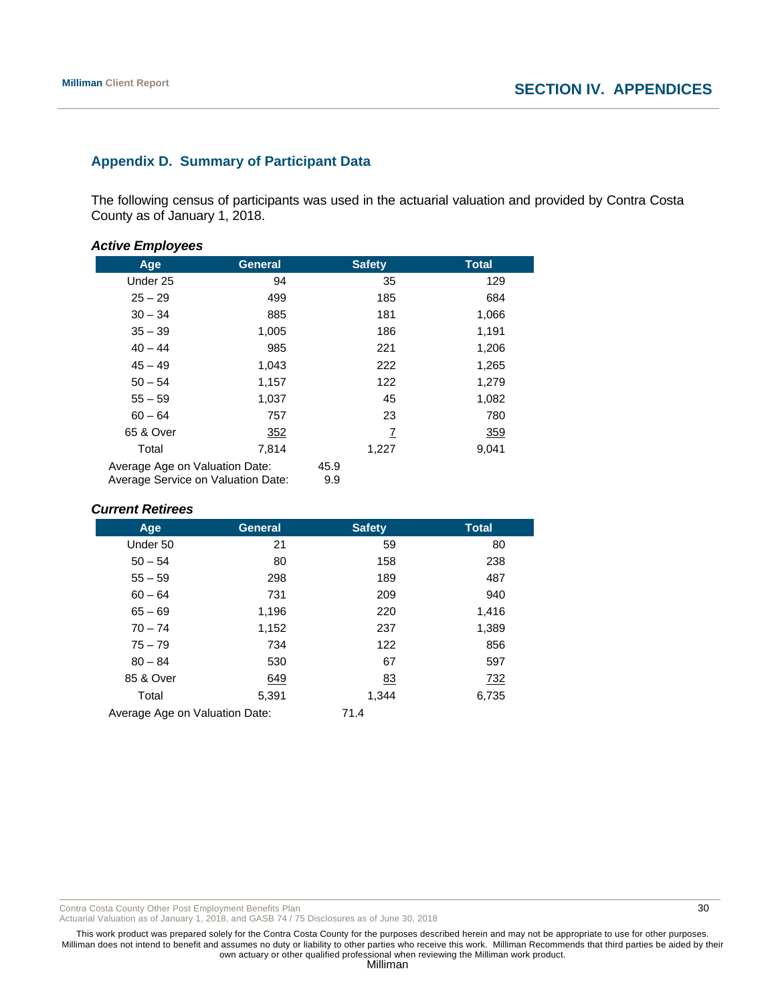# **Appendix D. Summary of Participant Data**

The following census of participants was used in the actuarial valuation and provided by Contra Costa County as of January 1, 2018.

#### *Active Employees*

| Age                                                                  | <b>General</b> | <b>Safety</b> | <b>Total</b> |
|----------------------------------------------------------------------|----------------|---------------|--------------|
| Under 25                                                             | 94             | 35            | 129          |
| $25 - 29$                                                            | 499            | 185           | 684          |
| $30 - 34$                                                            | 885            | 181           | 1,066        |
| $35 - 39$                                                            | 1,005          | 186           | 1,191        |
| $40 - 44$                                                            | 985            | 221           | 1,206        |
| $45 - 49$                                                            | 1,043          | 222           | 1,265        |
| $50 - 54$                                                            | 1,157          | 122           | 1,279        |
| $55 - 59$                                                            | 1,037          | 45            | 1,082        |
| $60 - 64$                                                            | 757            | 23            | 780          |
| 65 & Over                                                            | 352            | 7             | <u>359</u>   |
| Total                                                                | 7,814          | 1,227         | 9,041        |
| Average Age on Valuation Date:<br>Average Service on Valuation Date: |                | 45.9<br>9.9   |              |

#### *Current Retirees*

| Age                            | <b>General</b> | <b>Safety</b> | <b>Total</b> |
|--------------------------------|----------------|---------------|--------------|
| Under 50                       | 21             | 59            | 80           |
| $50 - 54$                      | 80             | 158           | 238          |
| $55 - 59$                      | 298            | 189           | 487          |
| $60 - 64$                      | 731            | 209           | 940          |
| $65 - 69$                      | 1,196          | 220           | 1,416        |
| $70 - 74$                      | 1,152          | 237           | 1,389        |
| $75 - 79$                      | 734            | 122           | 856          |
| $80 - 84$                      | 530            | 67            | 597          |
| 85 & Over                      | 649            | <u>83</u>     | <u>732</u>   |
| Total                          | 5,391          | 1,344         | 6,735        |
| Average Age on Valuation Date: |                | 71.4          |              |

Contra Costa County Other Post Employment Benefits Plan 30 and 30 and 30 and 30 and 30 and 30 and 30 and 30 and 30 and 30 and 30 and 30 and 30 and 30 and 30 and 30 and 30 and 30 and 30 and 30 and 30 and 30 and 30 and 30 an

Actuarial Valuation as of January 1, 2018, and GASB 74 / 75 Disclosures as of June 30, 2018